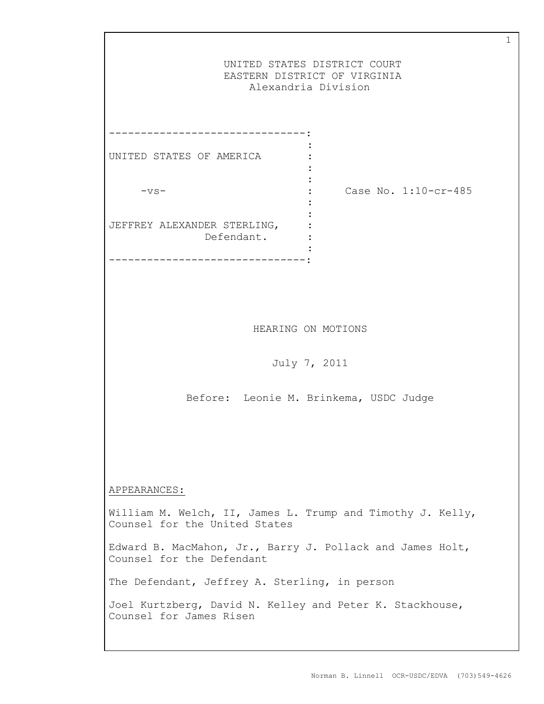|                                                                                             | UNITED STATES DISTRICT COURT<br>EASTERN DISTRICT OF VIRGINIA<br>Alexandria Division |
|---------------------------------------------------------------------------------------------|-------------------------------------------------------------------------------------|
| UNITED STATES OF AMERICA<br>$-vs-$<br>JEFFREY ALEXANDER STERLING,<br>Defendant.             | Case No. 1:10-cr-485                                                                |
|                                                                                             | HEARING ON MOTIONS<br>July 7, 2011                                                  |
|                                                                                             | Before: Leonie M. Brinkema, USDC Judge                                              |
| APPEARANCES:                                                                                |                                                                                     |
| William M. Welch, II, James L. Trump and Timothy J. Kelly,<br>Counsel for the United States |                                                                                     |
| Edward B. MacMahon, Jr., Barry J. Pollack and James Holt,<br>Counsel for the Defendant      |                                                                                     |
| The Defendant, Jeffrey A. Sterling, in person                                               |                                                                                     |
| Joel Kurtzberg, David N. Kelley and Peter K. Stackhouse,<br>Counsel for James Risen         |                                                                                     |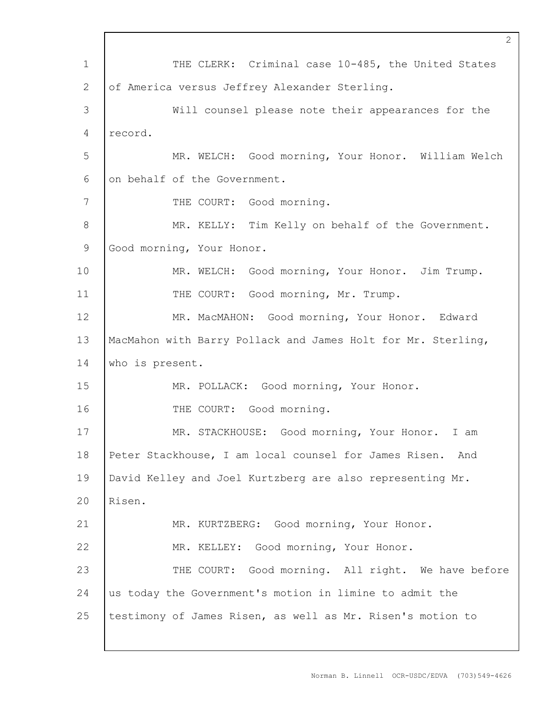1 2 3 4 5 6 7 8 9 10 11 12 13 14 15 16 17 18 19 20 21 22 23 24 25 2 THE CLERK: Criminal case 10-485, the United States of America versus Jeffrey Alexander Sterling. Will counsel please note their appearances for the record. MR. WELCH: Good morning, Your Honor. William Welch on behalf of the Government. THE COURT: Good morning. MR. KELLY: Tim Kelly on behalf of the Government. Good morning, Your Honor. MR. WELCH: Good morning, Your Honor. Jim Trump. THE COURT: Good morning, Mr. Trump. MR. MacMAHON: Good morning, Your Honor. Edward MacMahon with Barry Pollack and James Holt for Mr. Sterling, who is present. MR. POLLACK: Good morning, Your Honor. THE COURT: Good morning. MR. STACKHOUSE: Good morning, Your Honor. I am Peter Stackhouse, I am local counsel for James Risen. And David Kelley and Joel Kurtzberg are also representing Mr. Risen. MR. KURTZBERG: Good morning, Your Honor. MR. KELLEY: Good morning, Your Honor. THE COURT: Good morning. All right. We have before us today the Government's motion in limine to admit the testimony of James Risen, as well as Mr. Risen's motion to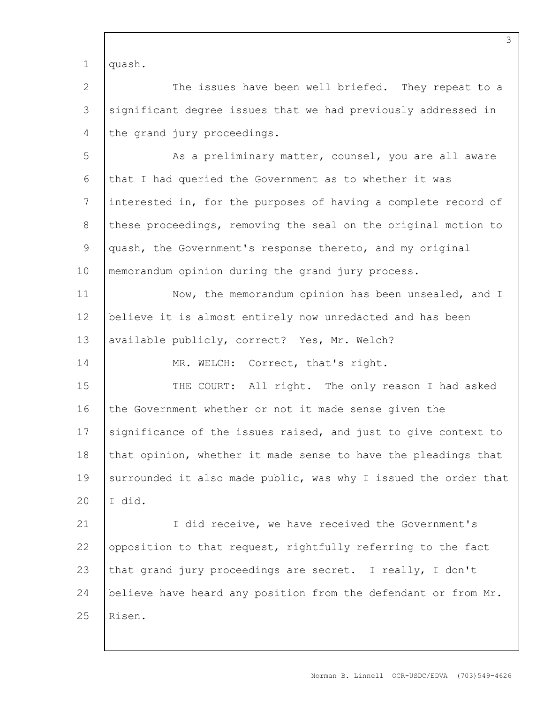1 quash.

14

2 3 4 The issues have been well briefed. They repeat to a significant degree issues that we had previously addressed in the grand jury proceedings.

5 6 7 8 9 10 As a preliminary matter, counsel, you are all aware that I had queried the Government as to whether it was interested in, for the purposes of having a complete record of these proceedings, removing the seal on the original motion to quash, the Government's response thereto, and my original memorandum opinion during the grand jury process.

11 12 13 Now, the memorandum opinion has been unsealed, and I believe it is almost entirely now unredacted and has been available publicly, correct? Yes, Mr. Welch?

MR. WELCH: Correct, that's right.

15 16 17 18 19 20 THE COURT: All right. The only reason I had asked the Government whether or not it made sense given the significance of the issues raised, and just to give context to that opinion, whether it made sense to have the pleadings that surrounded it also made public, was why I issued the order that I did.

21 22 23 24 25 I did receive, we have received the Government's opposition to that request, rightfully referring to the fact that grand jury proceedings are secret. I really, I don't believe have heard any position from the defendant or from Mr. Risen.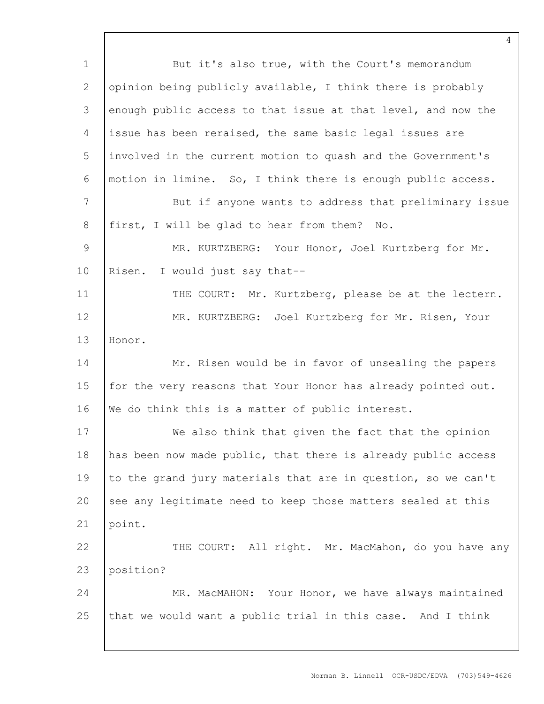| $1\,$          | But it's also true, with the Court's memorandum               |
|----------------|---------------------------------------------------------------|
| 2              | opinion being publicly available, I think there is probably   |
| 3              | enough public access to that issue at that level, and now the |
| 4              | issue has been reraised, the same basic legal issues are      |
| 5              | involved in the current motion to quash and the Government's  |
| 6              | motion in limine. So, I think there is enough public access.  |
| $\overline{7}$ | But if anyone wants to address that preliminary issue         |
| 8              | first, I will be glad to hear from them? No.                  |
| $\overline{9}$ | MR. KURTZBERG: Your Honor, Joel Kurtzberg for Mr.             |
| 10             | Risen.<br>I would just say that--                             |
| 11             | THE COURT: Mr. Kurtzberg, please be at the lectern.           |
| 12             | MR. KURTZBERG: Joel Kurtzberg for Mr. Risen, Your             |
| 13             | Honor.                                                        |
| 14             | Mr. Risen would be in favor of unsealing the papers           |
| 15             | for the very reasons that Your Honor has already pointed out. |
| 16             | We do think this is a matter of public interest.              |
| 17             | We also think that given the fact that the opinion            |
| 18             | has been now made public, that there is already public access |
| 19             | to the grand jury materials that are in question, so we can't |
| 20             | see any legitimate need to keep those matters sealed at this  |
| 21             | point.                                                        |
| 22             | THE COURT: All right. Mr. MacMahon, do you have any           |
| 23             | position?                                                     |
| 24             | MR. MacMAHON: Your Honor, we have always maintained           |
| 25             | that we would want a public trial in this case. And I think   |
|                |                                                               |

Norman B. Linnell OCR-USDC/EDVA (703)549-4626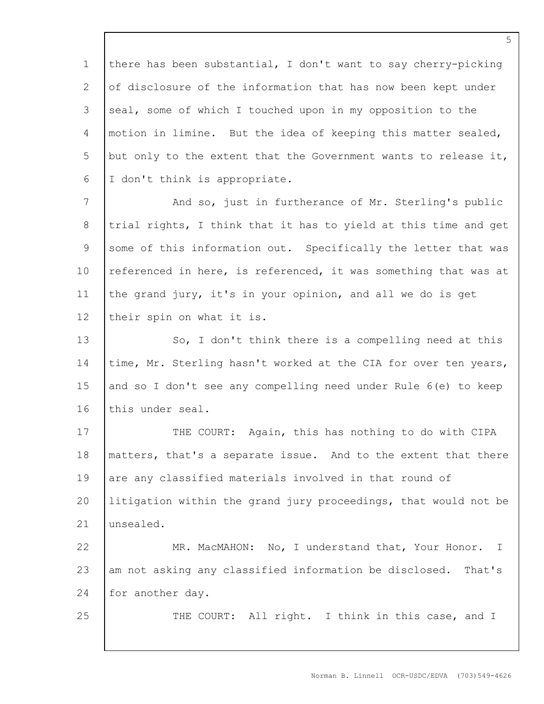1 2 3 4 5 6 there has been substantial, I don't want to say cherry-picking of disclosure of the information that has now been kept under seal, some of which I touched upon in my opposition to the motion in limine. But the idea of keeping this matter sealed, but only to the extent that the Government wants to release it, I don't think is appropriate.

7 8 9 10 11 12 And so, just in furtherance of Mr. Sterling's public trial rights, I think that it has to yield at this time and get some of this information out. Specifically the letter that was referenced in here, is referenced, it was something that was at the grand jury, it's in your opinion, and all we do is get their spin on what it is.

13 14 15 16 So, I don't think there is a compelling need at this time, Mr. Sterling hasn't worked at the CIA for over ten years, and so I don't see any compelling need under Rule 6(e) to keep this under seal.

17 18 19 20 21 THE COURT: Again, this has nothing to do with CIPA matters, that's a separate issue. And to the extent that there are any classified materials involved in that round of litigation within the grand jury proceedings, that would not be unsealed.

22 23 24 MR. MacMAHON: No, I understand that, Your Honor. I am not asking any classified information be disclosed. That's for another day.

25

THE COURT: All right. I think in this case, and I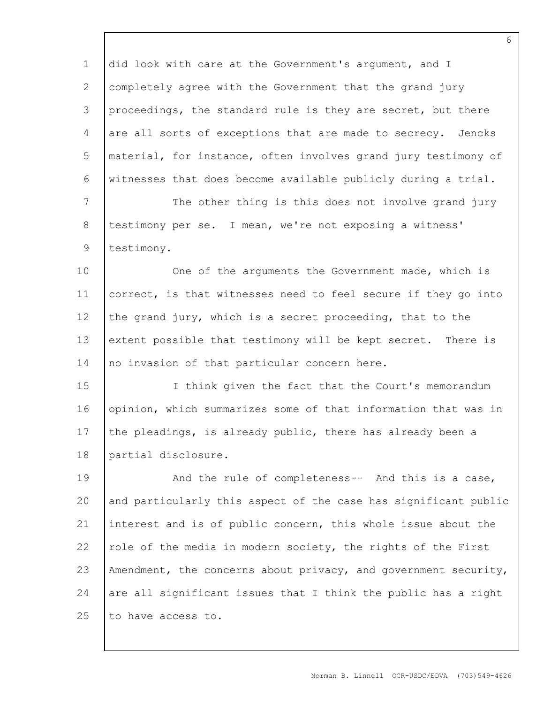1 2 3 4 5 6 7 8 9 10 11 12 13 14 15 16 17 18 19 20 21 22 23 24 25 did look with care at the Government's argument, and I completely agree with the Government that the grand jury proceedings, the standard rule is they are secret, but there are all sorts of exceptions that are made to secrecy. Jencks material, for instance, often involves grand jury testimony of witnesses that does become available publicly during a trial. The other thing is this does not involve grand jury testimony per se. I mean, we're not exposing a witness' testimony. One of the arguments the Government made, which is correct, is that witnesses need to feel secure if they go into the grand jury, which is a secret proceeding, that to the extent possible that testimony will be kept secret. There is no invasion of that particular concern here. I think given the fact that the Court's memorandum opinion, which summarizes some of that information that was in the pleadings, is already public, there has already been a partial disclosure. And the rule of completeness-- And this is a case, and particularly this aspect of the case has significant public interest and is of public concern, this whole issue about the role of the media in modern society, the rights of the First Amendment, the concerns about privacy, and government security, are all significant issues that I think the public has a right to have access to.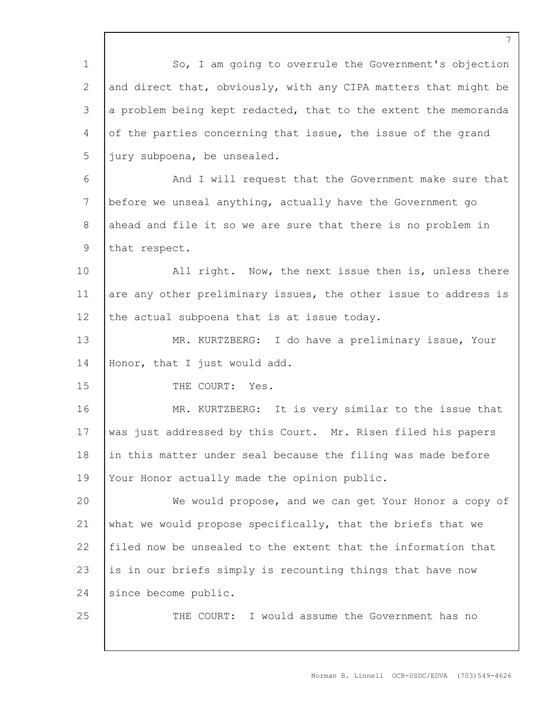| $\mathbf 1$     | So, I am going to overrule the Government's objection           |
|-----------------|-----------------------------------------------------------------|
| 2               | and direct that, obviously, with any CIPA matters that might be |
| 3               | a problem being kept redacted, that to the extent the memoranda |
| $\overline{4}$  | of the parties concerning that issue, the issue of the grand    |
| 5               | jury subpoena, be unsealed.                                     |
| 6               | And I will request that the Government make sure that           |
| $7\phantom{.0}$ | before we unseal anything, actually have the Government go      |
| 8               | ahead and file it so we are sure that there is no problem in    |
| $\mathsf 9$     | that respect.                                                   |
| 10              | All right. Now, the next issue then is, unless there            |
| 11              | are any other preliminary issues, the other issue to address is |
| 12              | the actual subpoena that is at issue today.                     |
| 13              | MR. KURTZBERG: I do have a preliminary issue, Your              |
| 14              | Honor, that I just would add.                                   |
| 15              | THE COURT: Yes.                                                 |
| 16              | MR. KURTZBERG: It is very similar to the issue that             |
| 17              | was just addressed by this Court. Mr. Risen filed his papers    |
| 18              | in this matter under seal because the filing was made before    |
| 19              | Your Honor actually made the opinion public.                    |
| 20              | We would propose, and we can get Your Honor a copy of           |
| 21              | what we would propose specifically, that the briefs that we     |
| 22              | filed now be unsealed to the extent that the information that   |
| 23              | is in our briefs simply is recounting things that have now      |
| 24              | since become public.                                            |
| 25              | THE COURT: I would assume the Government has no                 |
|                 |                                                                 |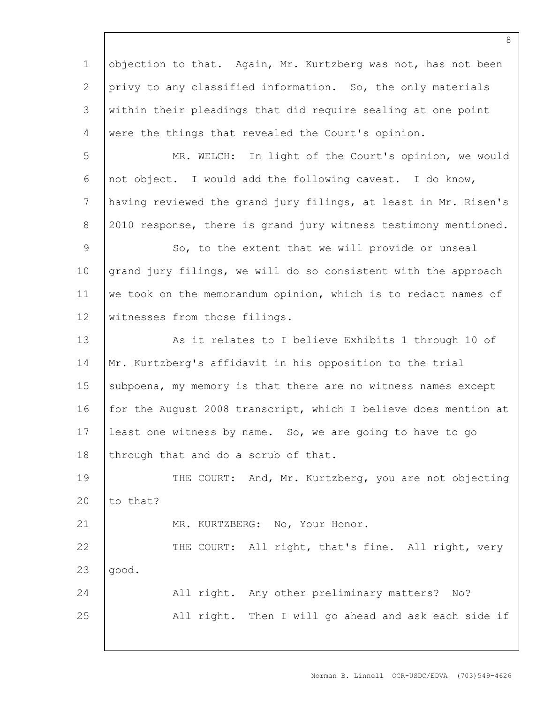1 2 3 4 objection to that. Again, Mr. Kurtzberg was not, has not been privy to any classified information. So, the only materials within their pleadings that did require sealing at one point were the things that revealed the Court's opinion.

5 6 7 8 MR. WELCH: In light of the Court's opinion, we would not object. I would add the following caveat. I do know, having reviewed the grand jury filings, at least in Mr. Risen's 2010 response, there is grand jury witness testimony mentioned.

9 10 11 12 So, to the extent that we will provide or unseal grand jury filings, we will do so consistent with the approach we took on the memorandum opinion, which is to redact names of witnesses from those filings.

13 14 15 16 17 18 As it relates to I believe Exhibits 1 through 10 of Mr. Kurtzberg's affidavit in his opposition to the trial subpoena, my memory is that there are no witness names except for the August 2008 transcript, which I believe does mention at least one witness by name. So, we are going to have to go through that and do a scrub of that.

19 20 THE COURT: And, Mr. Kurtzberg, you are not objecting to that?

MR. KURTZBERG: No, Your Honor.

21

22 23 THE COURT: All right, that's fine. All right, very good.

24 25 All right. Any other preliminary matters? No? All right. Then I will go ahead and ask each side if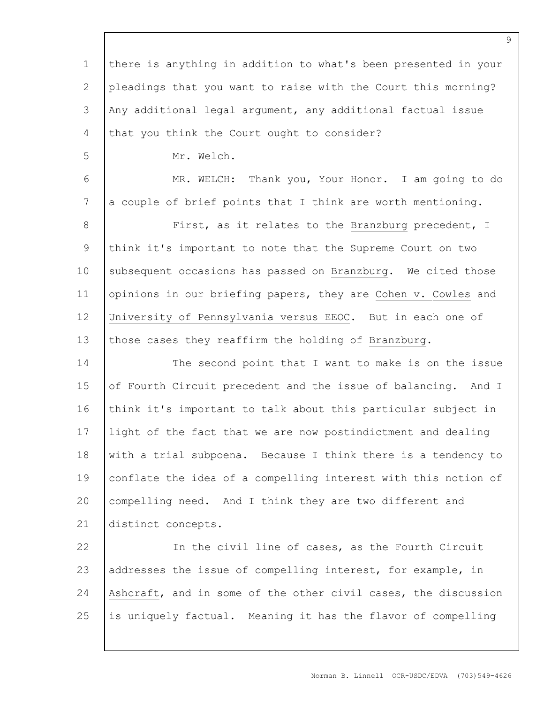1 2 3 4 5 6 7 8 9 10 11 12 13 14 15 16 17 18 19 20 21 22 23 24 25 there is anything in addition to what's been presented in your pleadings that you want to raise with the Court this morning? Any additional legal argument, any additional factual issue that you think the Court ought to consider? Mr. Welch. MR. WELCH: Thank you, Your Honor. I am going to do a couple of brief points that I think are worth mentioning. First, as it relates to the Branzburg precedent, I think it's important to note that the Supreme Court on two subsequent occasions has passed on Branzburg. We cited those opinions in our briefing papers, they are Cohen v. Cowles and University of Pennsylvania versus EEOC. But in each one of those cases they reaffirm the holding of Branzburg. The second point that I want to make is on the issue of Fourth Circuit precedent and the issue of balancing. And I think it's important to talk about this particular subject in light of the fact that we are now postindictment and dealing with a trial subpoena. Because I think there is a tendency to conflate the idea of a compelling interest with this notion of compelling need. And I think they are two different and distinct concepts. In the civil line of cases, as the Fourth Circuit addresses the issue of compelling interest, for example, in Ashcraft, and in some of the other civil cases, the discussion is uniquely factual. Meaning it has the flavor of compelling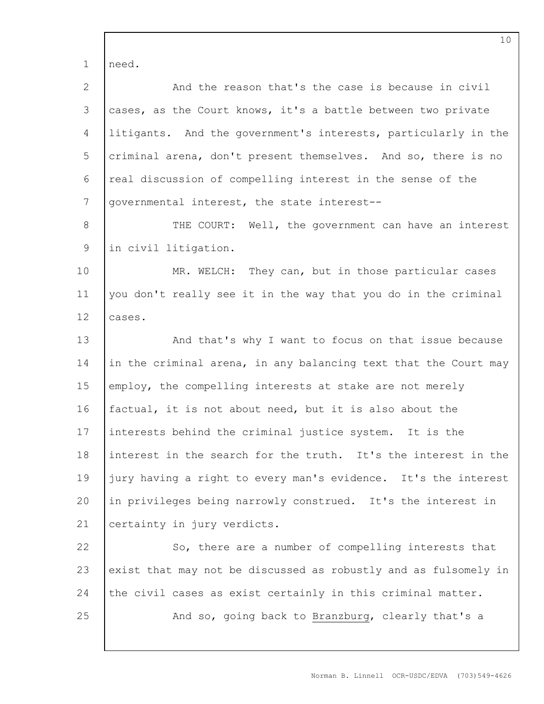1 need.

| $\mathbf{2}$ | And the reason that's the case is because in civil              |
|--------------|-----------------------------------------------------------------|
| 3            | cases, as the Court knows, it's a battle between two private    |
| 4            | litigants. And the government's interests, particularly in the  |
| 5            | criminal arena, don't present themselves. And so, there is no   |
| 6            | real discussion of compelling interest in the sense of the      |
| 7            | governmental interest, the state interest--                     |
| $8\,$        | THE COURT: Well, the government can have an interest            |
| $\mathsf 9$  | in civil litigation.                                            |
| 10           | MR. WELCH: They can, but in those particular cases              |
| 11           | you don't really see it in the way that you do in the criminal  |
| 12           | cases.                                                          |
| 13           | And that's why I want to focus on that issue because            |
| 14           | in the criminal arena, in any balancing text that the Court may |
| 15           | employ, the compelling interests at stake are not merely        |
| 16           | factual, it is not about need, but it is also about the         |
| 17           | interests behind the criminal justice system. It is the         |
| 18           | interest in the search for the truth. It's the interest in the  |
| 19           | jury having a right to every man's evidence. It's the interest  |
| 20           | in privileges being narrowly construed. It's the interest in    |
| 21           | certainty in jury verdicts.                                     |
| 22           | So, there are a number of compelling interests that             |
| 23           | exist that may not be discussed as robustly and as fulsomely in |
| 24           | the civil cases as exist certainly in this criminal matter.     |
| 25           | And so, going back to Branzburg, clearly that's a               |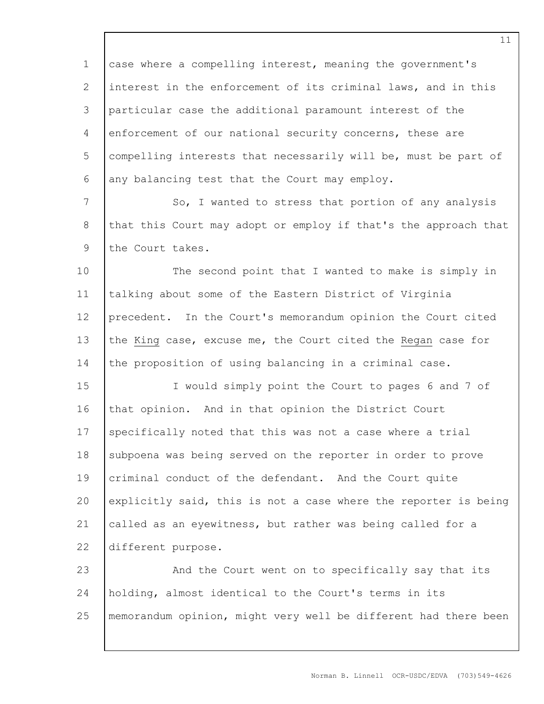1 2 3 4 5 6 case where a compelling interest, meaning the government's interest in the enforcement of its criminal laws, and in this particular case the additional paramount interest of the enforcement of our national security concerns, these are compelling interests that necessarily will be, must be part of any balancing test that the Court may employ.

7 8 9 So, I wanted to stress that portion of any analysis that this Court may adopt or employ if that's the approach that the Court takes.

10 11 12 13 14 The second point that I wanted to make is simply in talking about some of the Eastern District of Virginia precedent. In the Court's memorandum opinion the Court cited the King case, excuse me, the Court cited the Regan case for the proposition of using balancing in a criminal case.

15 16 17 18 19 20 21 22 I would simply point the Court to pages 6 and 7 of that opinion. And in that opinion the District Court specifically noted that this was not a case where a trial subpoena was being served on the reporter in order to prove criminal conduct of the defendant. And the Court quite explicitly said, this is not a case where the reporter is being called as an eyewitness, but rather was being called for a different purpose.

23 24 25 And the Court went on to specifically say that its holding, almost identical to the Court's terms in its memorandum opinion, might very well be different had there been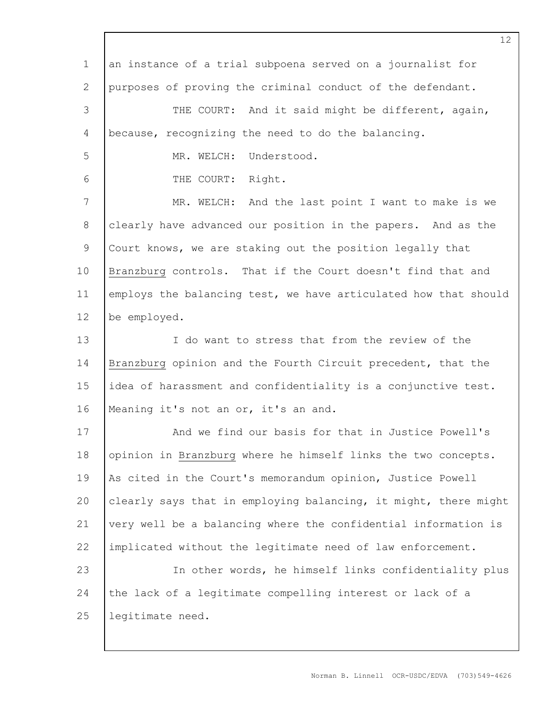| $\mathbf 1$    | an instance of a trial subpoena served on a journalist for      |
|----------------|-----------------------------------------------------------------|
| 2              | purposes of proving the criminal conduct of the defendant.      |
| 3              | THE COURT: And it said might be different, again,               |
| $\overline{4}$ | because, recognizing the need to do the balancing.              |
| 5              | MR. WELCH:<br>Understood.                                       |
| 6              | THE COURT: Right.                                               |
| $7\phantom{.}$ | MR. WELCH: And the last point I want to make is we              |
| 8              | clearly have advanced our position in the papers. And as the    |
| $\mathsf 9$    | Court knows, we are staking out the position legally that       |
| 10             | Branzburg controls. That if the Court doesn't find that and     |
| 11             | employs the balancing test, we have articulated how that should |
| 12             | be employed.                                                    |
| 13             | I do want to stress that from the review of the                 |
| 14             | Branzburg opinion and the Fourth Circuit precedent, that the    |
| 15             | idea of harassment and confidentiality is a conjunctive test.   |
| 16             | Meaning it's not an or, it's an and.                            |
| 17             | And we find our basis for that in Justice Powell's              |
| 18             | opinion in Branzburg where he himself links the two concepts.   |
| 19             | As cited in the Court's memorandum opinion, Justice Powell      |
| 20             | clearly says that in employing balancing, it might, there might |
| 21             | very well be a balancing where the confidential information is  |
| 22             | implicated without the legitimate need of law enforcement.      |
| 23             | In other words, he himself links confidentiality plus           |
| 24             | the lack of a legitimate compelling interest or lack of a       |
| 25             | legitimate need.                                                |
|                |                                                                 |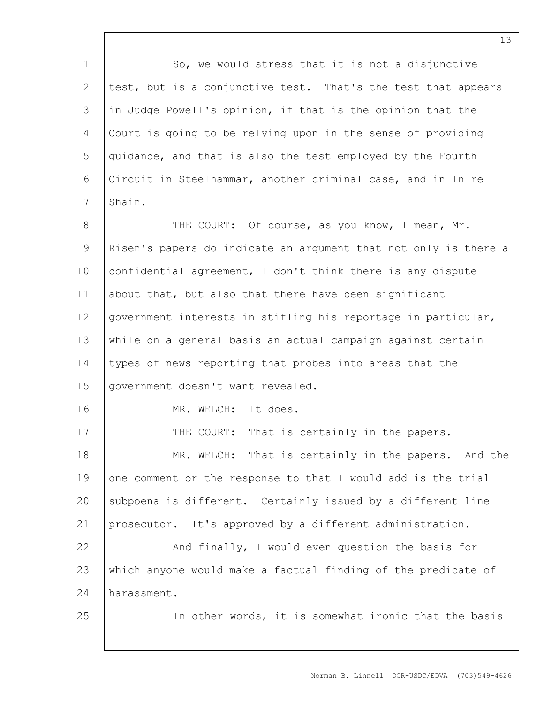| So, we would stress that it is not a disjunctive                |
|-----------------------------------------------------------------|
| test, but is a conjunctive test. That's the test that appears   |
| in Judge Powell's opinion, if that is the opinion that the      |
| Court is going to be relying upon in the sense of providing     |
| quidance, and that is also the test employed by the Fourth      |
| Circuit in Steelhammar, another criminal case, and in In re     |
| Shain.                                                          |
| THE COURT: Of course, as you know, I mean, Mr.                  |
| Risen's papers do indicate an argument that not only is there a |
| confidential agreement, I don't think there is any dispute      |
| about that, but also that there have been significant           |
| government interests in stifling his reportage in particular,   |
| while on a general basis an actual campaign against certain     |
| types of news reporting that probes into areas that the         |
| government doesn't want revealed.                               |
| MR. WELCH: It does.                                             |
| That is certainly in the papers.<br>THE COURT:                  |
| MR. WELCH: That is certainly in the papers. And the             |
| one comment or the response to that I would add is the trial    |
| subpoena is different. Certainly issued by a different line     |
| prosecutor. It's approved by a different administration.        |
| And finally, I would even question the basis for                |
| which anyone would make a factual finding of the predicate of   |
| harassment.                                                     |
| In other words, it is somewhat ironic that the basis            |
|                                                                 |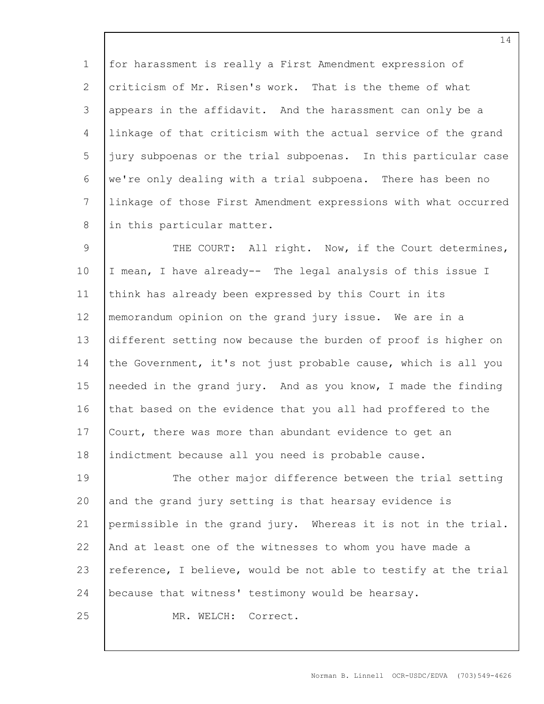1 2 3 4 5 6 7 8 for harassment is really a First Amendment expression of criticism of Mr. Risen's work. That is the theme of what appears in the affidavit. And the harassment can only be a linkage of that criticism with the actual service of the grand jury subpoenas or the trial subpoenas. In this particular case we're only dealing with a trial subpoena. There has been no linkage of those First Amendment expressions with what occurred in this particular matter.

9 10 11 12 13 14 15 16 17 18 THE COURT: All right. Now, if the Court determines, I mean, I have already-- The legal analysis of this issue I think has already been expressed by this Court in its memorandum opinion on the grand jury issue. We are in a different setting now because the burden of proof is higher on the Government, it's not just probable cause, which is all you needed in the grand jury. And as you know, I made the finding that based on the evidence that you all had proffered to the Court, there was more than abundant evidence to get an indictment because all you need is probable cause.

19 20 21 22 23 24 25 The other major difference between the trial setting and the grand jury setting is that hearsay evidence is permissible in the grand jury. Whereas it is not in the trial. And at least one of the witnesses to whom you have made a reference, I believe, would be not able to testify at the trial because that witness' testimony would be hearsay. MR. WELCH: Correct.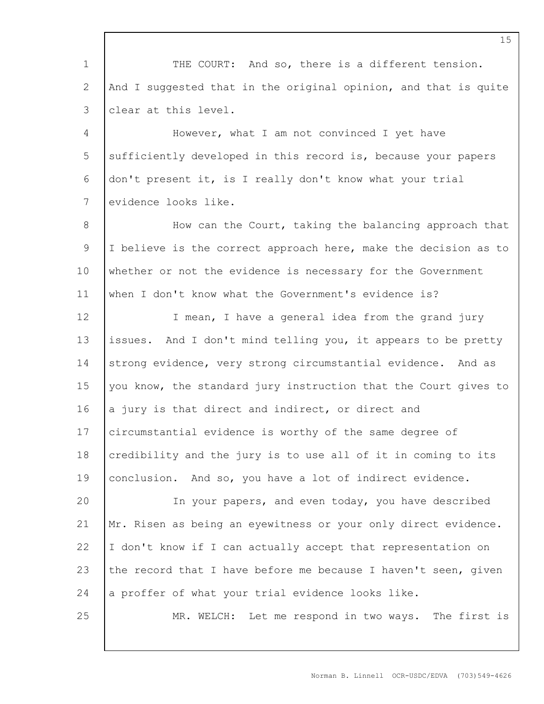1 2 3 4 5 6 7 8 9 10 11 12 13 14 15 16 17 18 19 20 21 22 23 24 25 THE COURT: And so, there is a different tension. And I suggested that in the original opinion, and that is quite clear at this level. However, what I am not convinced I yet have sufficiently developed in this record is, because your papers don't present it, is I really don't know what your trial evidence looks like. How can the Court, taking the balancing approach that I believe is the correct approach here, make the decision as to whether or not the evidence is necessary for the Government when I don't know what the Government's evidence is? I mean, I have a general idea from the grand jury issues. And I don't mind telling you, it appears to be pretty strong evidence, very strong circumstantial evidence. And as you know, the standard jury instruction that the Court gives to a jury is that direct and indirect, or direct and circumstantial evidence is worthy of the same degree of credibility and the jury is to use all of it in coming to its conclusion. And so, you have a lot of indirect evidence. In your papers, and even today, you have described Mr. Risen as being an eyewitness or your only direct evidence. I don't know if I can actually accept that representation on the record that I have before me because I haven't seen, given a proffer of what your trial evidence looks like. MR. WELCH: Let me respond in two ways. The first is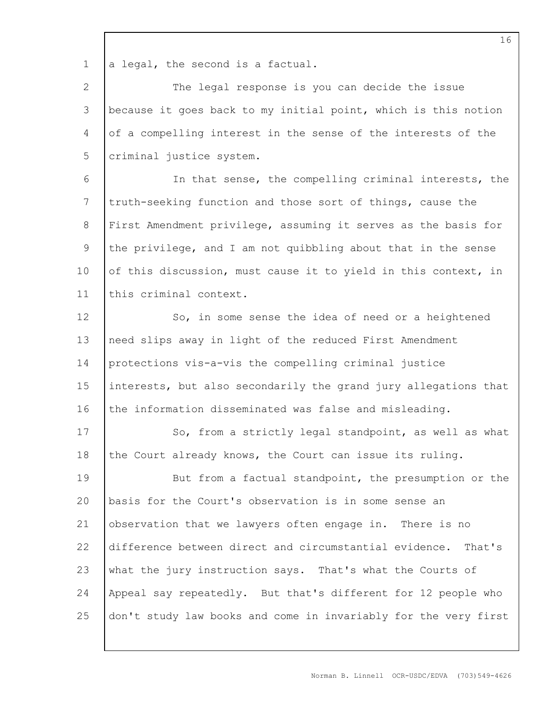1 a legal, the second is a factual.

2 3 4 5 The legal response is you can decide the issue because it goes back to my initial point, which is this notion of a compelling interest in the sense of the interests of the criminal justice system.

6 7 8 9 10 11 In that sense, the compelling criminal interests, the truth-seeking function and those sort of things, cause the First Amendment privilege, assuming it serves as the basis for the privilege, and I am not quibbling about that in the sense of this discussion, must cause it to yield in this context, in this criminal context.

12 13 14 15 16 So, in some sense the idea of need or a heightened need slips away in light of the reduced First Amendment protections vis-a-vis the compelling criminal justice interests, but also secondarily the grand jury allegations that the information disseminated was false and misleading.

17 18 So, from a strictly legal standpoint, as well as what the Court already knows, the Court can issue its ruling.

19 20 21 22 23 24 25 But from a factual standpoint, the presumption or the basis for the Court's observation is in some sense an observation that we lawyers often engage in. There is no difference between direct and circumstantial evidence. That's what the jury instruction says. That's what the Courts of Appeal say repeatedly. But that's different for 12 people who don't study law books and come in invariably for the very first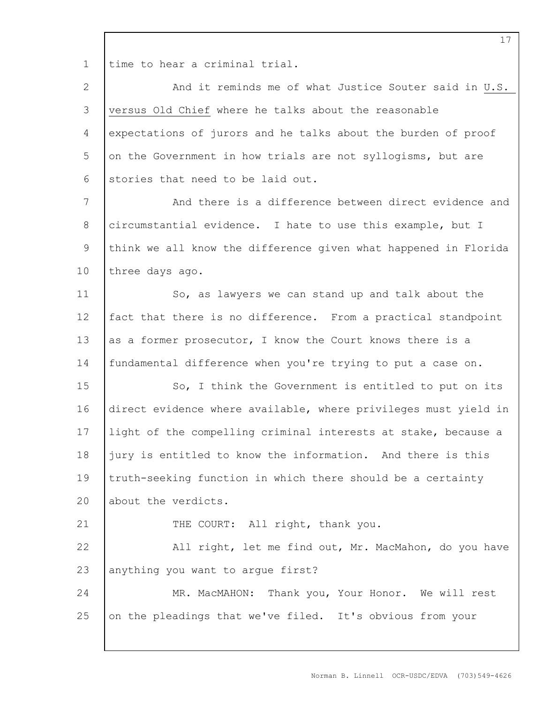1 time to hear a criminal trial.

| $\mathbf{2}$    | And it reminds me of what Justice Souter said in U.S.           |
|-----------------|-----------------------------------------------------------------|
| $\mathcal{S}$   | versus Old Chief where he talks about the reasonable            |
| 4               | expectations of jurors and he talks about the burden of proof   |
| 5               | on the Government in how trials are not syllogisms, but are     |
| 6               | stories that need to be laid out.                               |
| $7\phantom{.0}$ | And there is a difference between direct evidence and           |
| 8               | circumstantial evidence. I hate to use this example, but I      |
| $\mathsf 9$     | think we all know the difference given what happened in Florida |
| 10              | three days ago.                                                 |
| 11              | So, as lawyers we can stand up and talk about the               |
| 12              | fact that there is no difference. From a practical standpoint   |
| 13              | as a former prosecutor, I know the Court knows there is a       |
| 14              | fundamental difference when you're trying to put a case on.     |
| 15              | So, I think the Government is entitled to put on its            |
| 16              | direct evidence where available, where privileges must yield in |
| 17              | light of the compelling criminal interests at stake, because a  |
| 18              | jury is entitled to know the information. And there is this     |
| 19              | truth-seeking function in which there should be a certainty     |
| 20              | about the verdicts.                                             |
| 21              | THE COURT: All right, thank you.                                |
| 22              | All right, let me find out, Mr. MacMahon, do you have           |
| 23              | anything you want to arque first?                               |
| 24              | MR. MacMAHON: Thank you, Your Honor. We will rest               |
| 25              | on the pleadings that we've filed. It's obvious from your       |
|                 |                                                                 |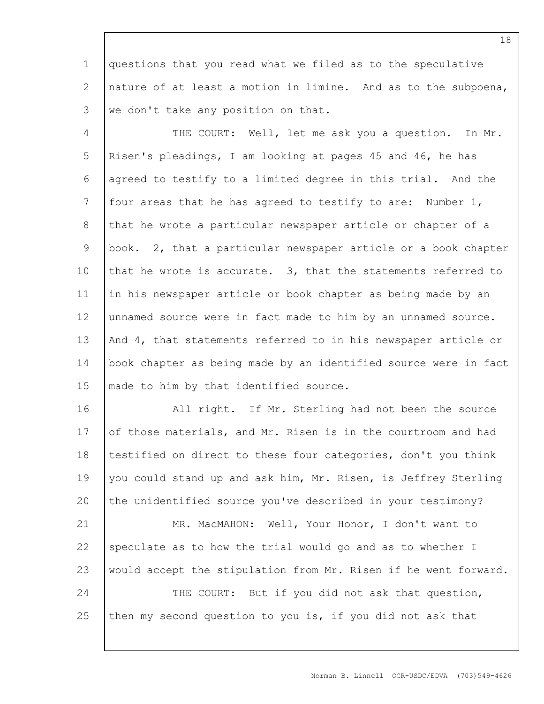1 2 3 questions that you read what we filed as to the speculative nature of at least a motion in limine. And as to the subpoena, we don't take any position on that.

4 5 6 7 8 9 10 11 12 13 14 15 THE COURT: Well, let me ask you a question. In Mr. Risen's pleadings, I am looking at pages 45 and 46, he has agreed to testify to a limited degree in this trial. And the four areas that he has agreed to testify to are: Number 1, that he wrote a particular newspaper article or chapter of a book. 2, that a particular newspaper article or a book chapter that he wrote is accurate. 3, that the statements referred to in his newspaper article or book chapter as being made by an unnamed source were in fact made to him by an unnamed source. And 4, that statements referred to in his newspaper article or book chapter as being made by an identified source were in fact made to him by that identified source.

16 17 18 19 20 All right. If Mr. Sterling had not been the source of those materials, and Mr. Risen is in the courtroom and had testified on direct to these four categories, don't you think you could stand up and ask him, Mr. Risen, is Jeffrey Sterling the unidentified source you've described in your testimony?

21 22 23 24 25 MR. MacMAHON: Well, Your Honor, I don't want to speculate as to how the trial would go and as to whether I would accept the stipulation from Mr. Risen if he went forward. THE COURT: But if you did not ask that question, then my second question to you is, if you did not ask that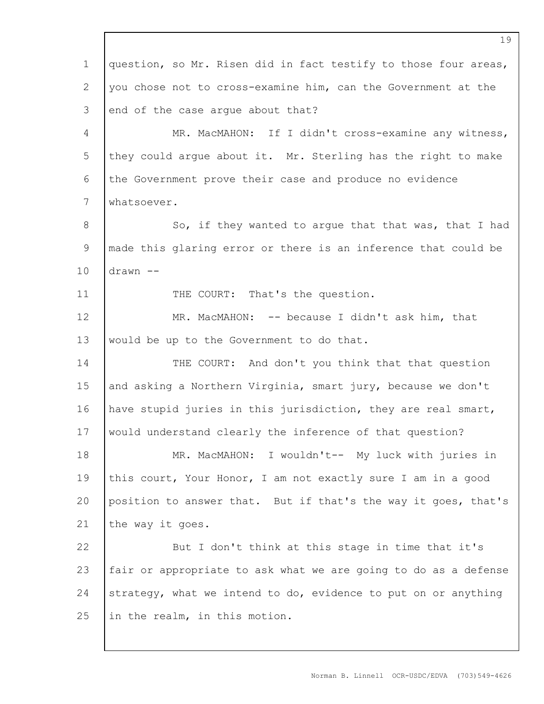1 2 3 4 5 6 7 8 9 10 11 12 13 14 15 16 17 18 19 20 21 22 23 24 25 question, so Mr. Risen did in fact testify to those four areas, you chose not to cross-examine him, can the Government at the end of the case argue about that? MR. MacMAHON: If I didn't cross-examine any witness, they could argue about it. Mr. Sterling has the right to make the Government prove their case and produce no evidence whatsoever. So, if they wanted to argue that that was, that I had made this glaring error or there is an inference that could be drawn -- THE COURT: That's the question. MR. MacMAHON: -- because I didn't ask him, that would be up to the Government to do that. THE COURT: And don't you think that that question and asking a Northern Virginia, smart jury, because we don't have stupid juries in this jurisdiction, they are real smart, would understand clearly the inference of that question? MR. MacMAHON: I wouldn't-- My luck with juries in this court, Your Honor, I am not exactly sure I am in a good position to answer that. But if that's the way it goes, that's the way it goes. But I don't think at this stage in time that it's fair or appropriate to ask what we are going to do as a defense strategy, what we intend to do, evidence to put on or anything in the realm, in this motion.

Norman B. Linnell OCR-USDC/EDVA (703)549-4626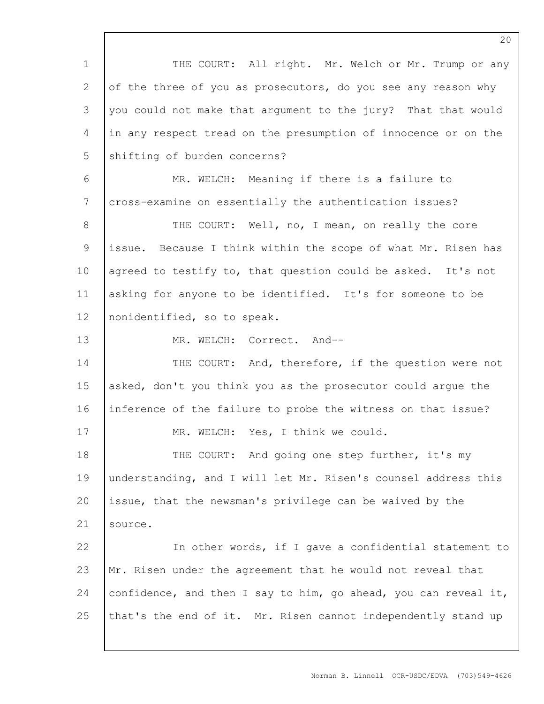1 2 3 4 5 6 7 8 9 10 11 12 13 14 15 16 17 18 19 20 21 22 23 24 25 THE COURT: All right. Mr. Welch or Mr. Trump or any of the three of you as prosecutors, do you see any reason why you could not make that argument to the jury? That that would in any respect tread on the presumption of innocence or on the shifting of burden concerns? MR. WELCH: Meaning if there is a failure to cross-examine on essentially the authentication issues? THE COURT: Well, no, I mean, on really the core issue. Because I think within the scope of what Mr. Risen has agreed to testify to, that question could be asked. It's not asking for anyone to be identified. It's for someone to be nonidentified, so to speak. MR. WELCH: Correct. And-- THE COURT: And, therefore, if the question were not asked, don't you think you as the prosecutor could argue the inference of the failure to probe the witness on that issue? MR. WELCH: Yes, I think we could. THE COURT: And going one step further, it's my understanding, and I will let Mr. Risen's counsel address this issue, that the newsman's privilege can be waived by the source. In other words, if I gave a confidential statement to Mr. Risen under the agreement that he would not reveal that confidence, and then I say to him, go ahead, you can reveal it, that's the end of it. Mr. Risen cannot independently stand up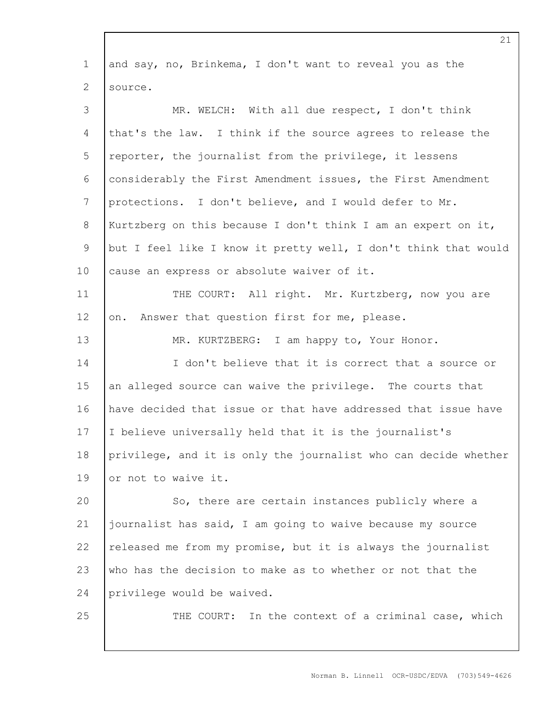| $\mathbf 1$     | and say, no, Brinkema, I don't want to reveal you as the        |
|-----------------|-----------------------------------------------------------------|
| $\mathbf{2}$    | source.                                                         |
| 3               | MR. WELCH: With all due respect, I don't think                  |
| $\overline{4}$  | that's the law. I think if the source agrees to release the     |
| 5               | reporter, the journalist from the privilege, it lessens         |
| 6               | considerably the First Amendment issues, the First Amendment    |
| $7\phantom{.0}$ | protections. I don't believe, and I would defer to Mr.          |
| 8               | Kurtzberg on this because I don't think I am an expert on it,   |
| 9               | but I feel like I know it pretty well, I don't think that would |
| 10              | cause an express or absolute waiver of it.                      |
| 11              | THE COURT: All right. Mr. Kurtzberg, now you are                |
| 12              | Answer that question first for me, please.<br>on.               |
| 13              | MR. KURTZBERG: I am happy to, Your Honor.                       |
| 14              | I don't believe that it is correct that a source or             |
| 15              | an alleged source can waive the privilege. The courts that      |
| 16              | have decided that issue or that have addressed that issue have  |
| 17              | I believe universally held that it is the journalist's          |
| 18              | privilege, and it is only the journalist who can decide whether |
| 19              | or not to waive it.                                             |
| 20              | So, there are certain instances publicly where a                |
| 21              | journalist has said, I am going to waive because my source      |
| 22              | released me from my promise, but it is always the journalist    |
| 23              | who has the decision to make as to whether or not that the      |
| 24              | privilege would be waived.                                      |
| 25              | THE COURT: In the context of a criminal case, which             |
|                 |                                                                 |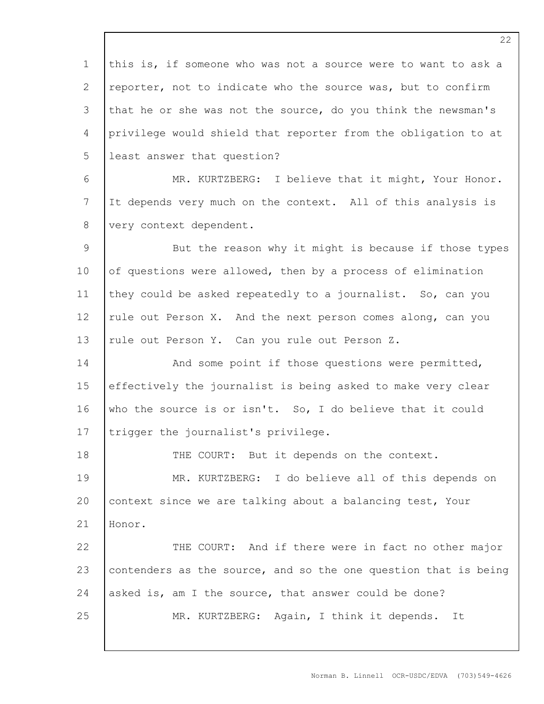1 2 3 4 5 6 7 8 9 10 11 12 13 14 15 16 17 18 19 20 21 22 23 24 25 this is, if someone who was not a source were to want to ask a reporter, not to indicate who the source was, but to confirm that he or she was not the source, do you think the newsman's privilege would shield that reporter from the obligation to at least answer that question? MR. KURTZBERG: I believe that it might, Your Honor. It depends very much on the context. All of this analysis is very context dependent. But the reason why it might is because if those types of questions were allowed, then by a process of elimination they could be asked repeatedly to a journalist. So, can you rule out Person X. And the next person comes along, can you rule out Person Y. Can you rule out Person Z. And some point if those questions were permitted, effectively the journalist is being asked to make very clear who the source is or isn't. So, I do believe that it could trigger the journalist's privilege. THE COURT: But it depends on the context. MR. KURTZBERG: I do believe all of this depends on context since we are talking about a balancing test, Your Honor. THE COURT: And if there were in fact no other major contenders as the source, and so the one question that is being asked is, am I the source, that answer could be done? MR. KURTZBERG: Again, I think it depends. It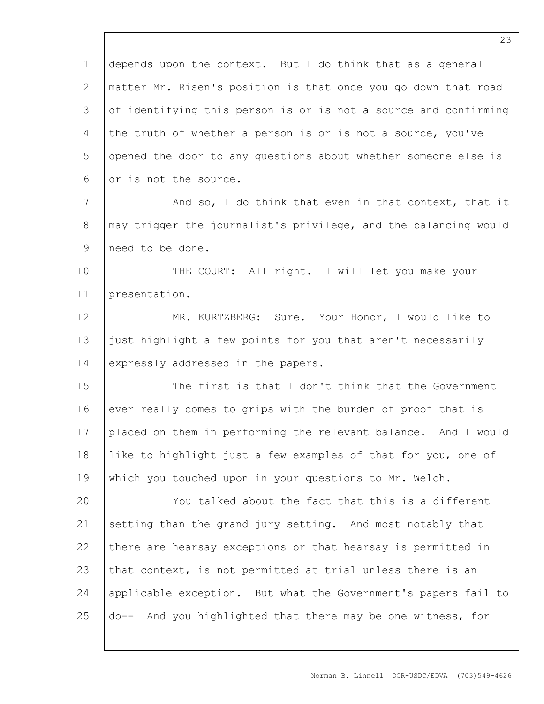1 2 3 4 5 6 7 8 9 10 11 12 13 14 15 16 17 18 19 20 21 22 23 24 25 depends upon the context. But I do think that as a general matter Mr. Risen's position is that once you go down that road of identifying this person is or is not a source and confirming the truth of whether a person is or is not a source, you've opened the door to any questions about whether someone else is or is not the source. And so, I do think that even in that context, that it may trigger the journalist's privilege, and the balancing would need to be done. THE COURT: All right. I will let you make your presentation. MR. KURTZBERG: Sure. Your Honor, I would like to just highlight a few points for you that aren't necessarily expressly addressed in the papers. The first is that I don't think that the Government ever really comes to grips with the burden of proof that is placed on them in performing the relevant balance. And I would like to highlight just a few examples of that for you, one of which you touched upon in your questions to Mr. Welch. You talked about the fact that this is a different setting than the grand jury setting. And most notably that there are hearsay exceptions or that hearsay is permitted in that context, is not permitted at trial unless there is an applicable exception. But what the Government's papers fail to do-- And you highlighted that there may be one witness, for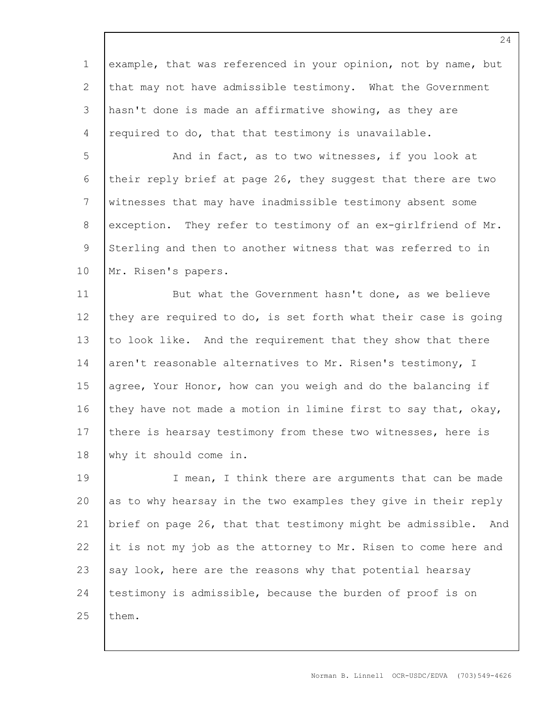1 2 3 4 example, that was referenced in your opinion, not by name, but that may not have admissible testimony. What the Government hasn't done is made an affirmative showing, as they are required to do, that that testimony is unavailable.

5 6 7 8 9 10 And in fact, as to two witnesses, if you look at their reply brief at page 26, they suggest that there are two witnesses that may have inadmissible testimony absent some exception. They refer to testimony of an ex-girlfriend of Mr. Sterling and then to another witness that was referred to in Mr. Risen's papers.

11 12 13 14 15 16 17 18 But what the Government hasn't done, as we believe they are required to do, is set forth what their case is going to look like. And the requirement that they show that there aren't reasonable alternatives to Mr. Risen's testimony, I agree, Your Honor, how can you weigh and do the balancing if they have not made a motion in limine first to say that, okay, there is hearsay testimony from these two witnesses, here is why it should come in.

19 20 21 22 23 24 25 I mean, I think there are arguments that can be made as to why hearsay in the two examples they give in their reply brief on page 26, that that testimony might be admissible. And it is not my job as the attorney to Mr. Risen to come here and say look, here are the reasons why that potential hearsay testimony is admissible, because the burden of proof is on them.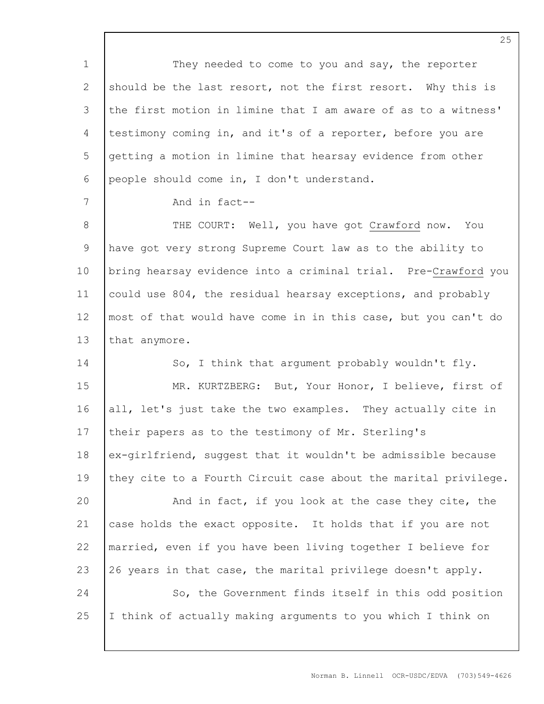1 2 3 4 5 6 7 8 9 10 11 12 13 14 15 16 17 18 19 20 21 22 23 24 25 They needed to come to you and say, the reporter should be the last resort, not the first resort. Why this is the first motion in limine that I am aware of as to a witness' testimony coming in, and it's of a reporter, before you are getting a motion in limine that hearsay evidence from other people should come in, I don't understand. And in fact-- THE COURT: Well, you have got Crawford now. You have got very strong Supreme Court law as to the ability to bring hearsay evidence into a criminal trial. Pre-Crawford you could use 804, the residual hearsay exceptions, and probably most of that would have come in in this case, but you can't do that anymore. So, I think that argument probably wouldn't fly. MR. KURTZBERG: But, Your Honor, I believe, first of all, let's just take the two examples. They actually cite in their papers as to the testimony of Mr. Sterling's ex-girlfriend, suggest that it wouldn't be admissible because they cite to a Fourth Circuit case about the marital privilege. And in fact, if you look at the case they cite, the case holds the exact opposite. It holds that if you are not married, even if you have been living together I believe for 26 years in that case, the marital privilege doesn't apply. So, the Government finds itself in this odd position I think of actually making arguments to you which I think on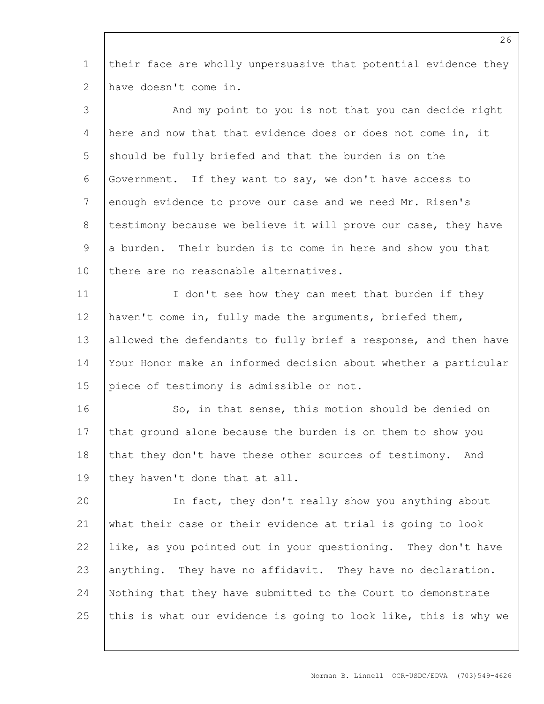1 2 their face are wholly unpersuasive that potential evidence they have doesn't come in.

| 3  | And my point to you is not that you can decide right            |
|----|-----------------------------------------------------------------|
| 4  | here and now that that evidence does or does not come in, it    |
| 5  | should be fully briefed and that the burden is on the           |
| 6  | Government. If they want to say, we don't have access to        |
| 7  | enough evidence to prove our case and we need Mr. Risen's       |
| 8  | testimony because we believe it will prove our case, they have  |
| 9  | a burden. Their burden is to come in here and show you that     |
| 10 | there are no reasonable alternatives.                           |
| 11 | I don't see how they can meet that burden if they               |
| 12 | haven't come in, fully made the arguments, briefed them,        |
| 13 | allowed the defendants to fully brief a response, and then have |
| 14 | Your Honor make an informed decision about whether a particular |
| 15 | piece of testimony is admissible or not.                        |
| 16 | So, in that sense, this motion should be denied on              |
| 17 | that ground alone because the burden is on them to show you     |
| 18 | that they don't have these other sources of testimony. And      |
| 19 | they haven't done that at all.                                  |
| 20 | In fact, they don't really show you anything about              |
| 21 | what their case or their evidence at trial is going to look     |
| 22 | like, as you pointed out in your questioning. They don't have   |
| 23 | anything. They have no affidavit. They have no declaration.     |
| 24 | Nothing that they have submitted to the Court to demonstrate    |
| 25 | this is what our evidence is going to look like, this is why we |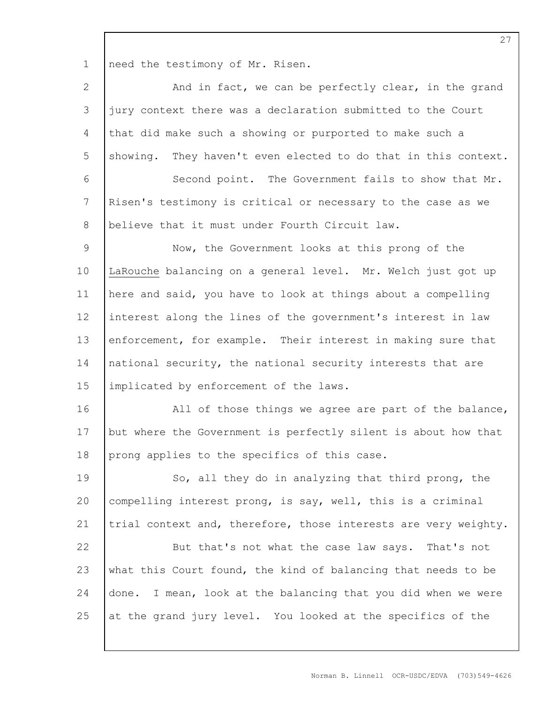1 need the testimony of Mr. Risen.

| $\mathbf{2}$    | And in fact, we can be perfectly clear, in the grand            |
|-----------------|-----------------------------------------------------------------|
| $\mathcal{S}$   | jury context there was a declaration submitted to the Court     |
| 4               | that did make such a showing or purported to make such a        |
| 5               | showing. They haven't even elected to do that in this context.  |
| $\epsilon$      | Second point. The Government fails to show that Mr.             |
| $7\phantom{.0}$ | Risen's testimony is critical or necessary to the case as we    |
| 8               | believe that it must under Fourth Circuit law.                  |
| $\mathcal{G}$   | Now, the Government looks at this prong of the                  |
| 10              | LaRouche balancing on a general level. Mr. Welch just got up    |
| 11              | here and said, you have to look at things about a compelling    |
| 12              | interest along the lines of the government's interest in law    |
| 13              | enforcement, for example. Their interest in making sure that    |
| 14              | national security, the national security interests that are     |
| 15              | implicated by enforcement of the laws.                          |
| 16              | All of those things we agree are part of the balance,           |
| 17              | but where the Government is perfectly silent is about how that  |
| 18              | prong applies to the specifics of this case.                    |
| 19              | So, all they do in analyzing that third prong, the              |
| 20              | compelling interest prong, is say, well, this is a criminal     |
| 21              | trial context and, therefore, those interests are very weighty. |
| 22              | But that's not what the case law says. That's not               |
| 23              | what this Court found, the kind of balancing that needs to be   |
| 24              | done. I mean, look at the balancing that you did when we were   |
| 25              | at the grand jury level. You looked at the specifics of the     |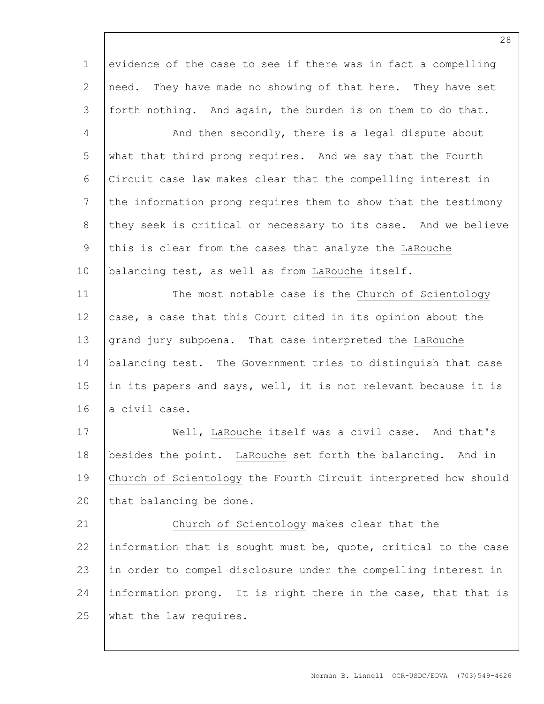1 2 3 evidence of the case to see if there was in fact a compelling need. They have made no showing of that here. They have set forth nothing. And again, the burden is on them to do that.

4 5 6 7 8 9 10 And then secondly, there is a legal dispute about what that third prong requires. And we say that the Fourth Circuit case law makes clear that the compelling interest in the information prong requires them to show that the testimony they seek is critical or necessary to its case. And we believe this is clear from the cases that analyze the LaRouche balancing test, as well as from LaRouche itself.

11 12 13 14 15 16 The most notable case is the Church of Scientology case, a case that this Court cited in its opinion about the grand jury subpoena. That case interpreted the LaRouche balancing test. The Government tries to distinguish that case in its papers and says, well, it is not relevant because it is a civil case.

17 18 19 20 Well, LaRouche itself was a civil case. And that's besides the point. LaRouche set forth the balancing. And in Church of Scientology the Fourth Circuit interpreted how should that balancing be done.

21 22 23 24 25 Church of Scientology makes clear that the information that is sought must be, quote, critical to the case in order to compel disclosure under the compelling interest in information prong. It is right there in the case, that that is what the law requires.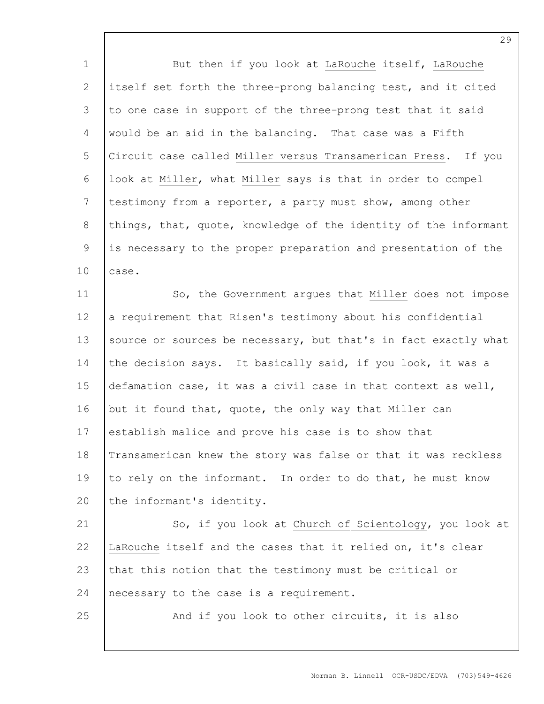| $\mathbf 1$   | But then if you look at LaRouche itself, LaRouche               |
|---------------|-----------------------------------------------------------------|
| $\mathbf{2}$  | itself set forth the three-prong balancing test, and it cited   |
| 3             | to one case in support of the three-prong test that it said     |
| 4             | would be an aid in the balancing. That case was a Fifth         |
| 5             | Circuit case called Miller versus Transamerican Press. If you   |
| $\epsilon$    | look at Miller, what Miller says is that in order to compel     |
| 7             | testimony from a reporter, a party must show, among other       |
| $8\,$         | things, that, quote, knowledge of the identity of the informant |
| $\mathcal{G}$ | is necessary to the proper preparation and presentation of the  |
| 10            | case.                                                           |
| 11            | So, the Government argues that Miller does not impose           |
| 12            | a requirement that Risen's testimony about his confidential     |
| 13            | source or sources be necessary, but that's in fact exactly what |
| 14            | the decision says. It basically said, if you look, it was a     |
| 15            | defamation case, it was a civil case in that context as well,   |
| 16            | but it found that, quote, the only way that Miller can          |
| 17            | establish malice and prove his case is to show that             |
| 18            | Transamerican knew the story was false or that it was reckless  |
| 19            | to rely on the informant. In order to do that, he must know     |
| 20            | the informant's identity.                                       |
| 21            | So, if you look at Church of Scientology, you look at           |
| 22            | LaRouche itself and the cases that it relied on, it's clear     |
| 23            | that this notion that the testimony must be critical or         |
| 24            | necessary to the case is a requirement.                         |
| 25            | And if you look to other circuits, it is also                   |
|               |                                                                 |

Norman B. Linnell OCR-USDC/EDVA (703)549-4626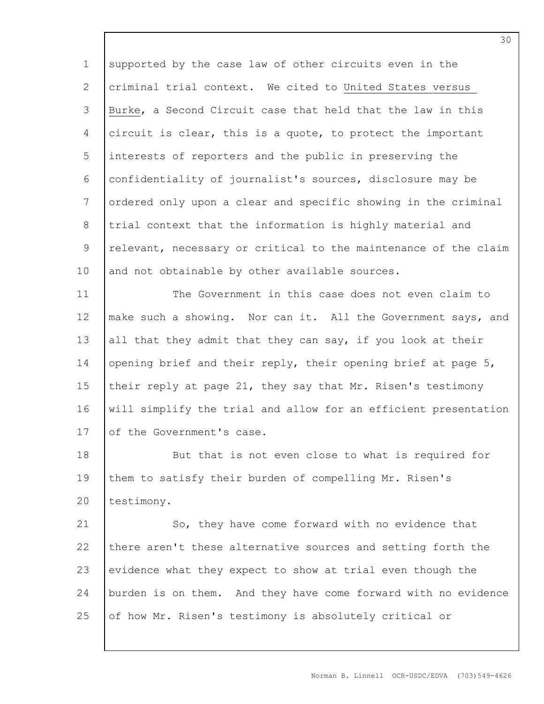1 2 3 4 5 6 7 8 9 10 supported by the case law of other circuits even in the criminal trial context. We cited to United States versus Burke, a Second Circuit case that held that the law in this circuit is clear, this is a quote, to protect the important interests of reporters and the public in preserving the confidentiality of journalist's sources, disclosure may be ordered only upon a clear and specific showing in the criminal trial context that the information is highly material and relevant, necessary or critical to the maintenance of the claim and not obtainable by other available sources.

11 12 13 14 15 16 17 The Government in this case does not even claim to make such a showing. Nor can it. All the Government says, and all that they admit that they can say, if you look at their opening brief and their reply, their opening brief at page 5, their reply at page 21, they say that Mr. Risen's testimony will simplify the trial and allow for an efficient presentation of the Government's case.

18 19 20 But that is not even close to what is required for them to satisfy their burden of compelling Mr. Risen's testimony.

21 22 23 24 25 So, they have come forward with no evidence that there aren't these alternative sources and setting forth the evidence what they expect to show at trial even though the burden is on them. And they have come forward with no evidence of how Mr. Risen's testimony is absolutely critical or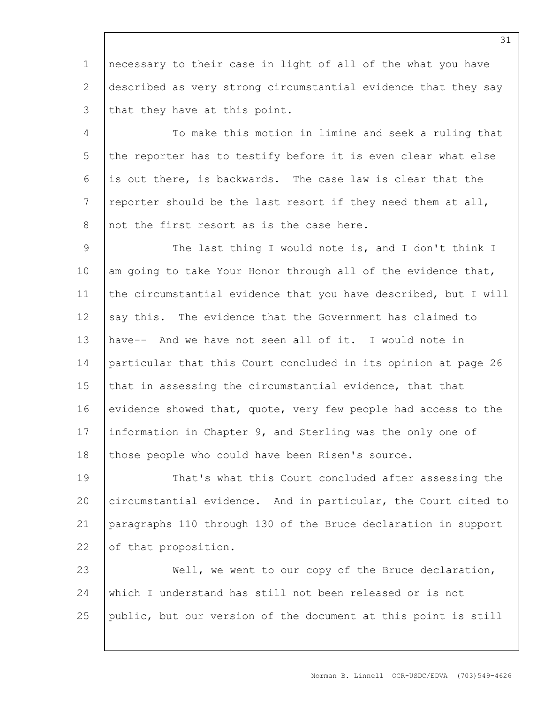1 2 3 necessary to their case in light of all of the what you have described as very strong circumstantial evidence that they say that they have at this point.

4 5 6 7 8 To make this motion in limine and seek a ruling that the reporter has to testify before it is even clear what else is out there, is backwards. The case law is clear that the reporter should be the last resort if they need them at all, not the first resort as is the case here.

9 10 11 12 13 14 15 16 17 18 The last thing I would note is, and I don't think I am going to take Your Honor through all of the evidence that, the circumstantial evidence that you have described, but I will say this. The evidence that the Government has claimed to have-- And we have not seen all of it. I would note in particular that this Court concluded in its opinion at page 26 that in assessing the circumstantial evidence, that that evidence showed that, quote, very few people had access to the information in Chapter 9, and Sterling was the only one of those people who could have been Risen's source.

19 20 21 22 That's what this Court concluded after assessing the circumstantial evidence. And in particular, the Court cited to paragraphs 110 through 130 of the Bruce declaration in support of that proposition.

23 24 25 Well, we went to our copy of the Bruce declaration, which I understand has still not been released or is not public, but our version of the document at this point is still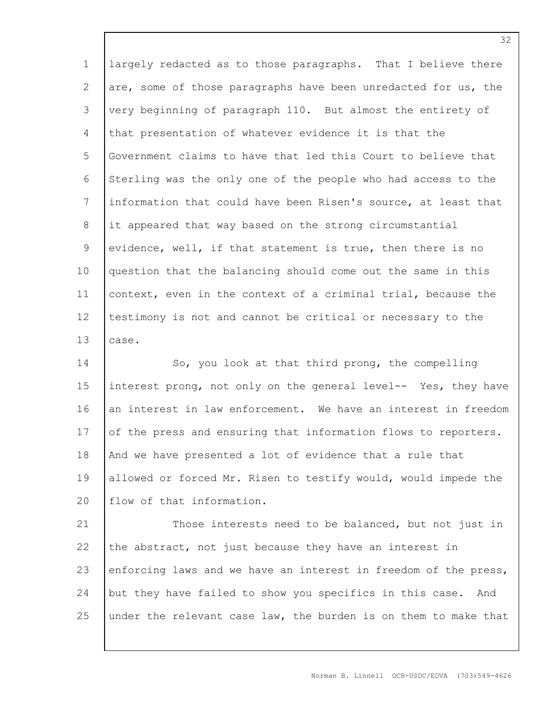1 2 3 4 5 6 7 8 9 10 11 12 13 largely redacted as to those paragraphs. That I believe there are, some of those paragraphs have been unredacted for us, the very beginning of paragraph 110. But almost the entirety of that presentation of whatever evidence it is that the Government claims to have that led this Court to believe that Sterling was the only one of the people who had access to the information that could have been Risen's source, at least that it appeared that way based on the strong circumstantial evidence, well, if that statement is true, then there is no question that the balancing should come out the same in this context, even in the context of a criminal trial, because the testimony is not and cannot be critical or necessary to the case.

14 15 16 17 18 19 20 So, you look at that third prong, the compelling interest prong, not only on the general level-- Yes, they have an interest in law enforcement. We have an interest in freedom of the press and ensuring that information flows to reporters. And we have presented a lot of evidence that a rule that allowed or forced Mr. Risen to testify would, would impede the flow of that information.

21 22 23 24 25 Those interests need to be balanced, but not just in the abstract, not just because they have an interest in enforcing laws and we have an interest in freedom of the press, but they have failed to show you specifics in this case. And under the relevant case law, the burden is on them to make that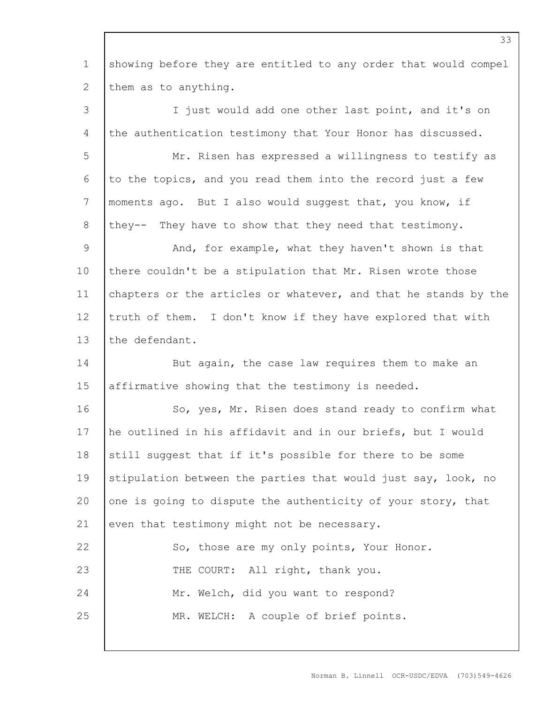1 2 showing before they are entitled to any order that would compel them as to anything.

3 4 5 6 7 8 9 10 11 12 13 14 15 16 17 18 19 20 21 22 23 24 25 I just would add one other last point, and it's on the authentication testimony that Your Honor has discussed. Mr. Risen has expressed a willingness to testify as to the topics, and you read them into the record just a few moments ago. But I also would suggest that, you know, if they-- They have to show that they need that testimony. And, for example, what they haven't shown is that there couldn't be a stipulation that Mr. Risen wrote those chapters or the articles or whatever, and that he stands by the truth of them. I don't know if they have explored that with the defendant. But again, the case law requires them to make an affirmative showing that the testimony is needed. So, yes, Mr. Risen does stand ready to confirm what he outlined in his affidavit and in our briefs, but I would still suggest that if it's possible for there to be some stipulation between the parties that would just say, look, no one is going to dispute the authenticity of your story, that even that testimony might not be necessary. So, those are my only points, Your Honor. THE COURT: All right, thank you. Mr. Welch, did you want to respond? MR. WELCH: A couple of brief points.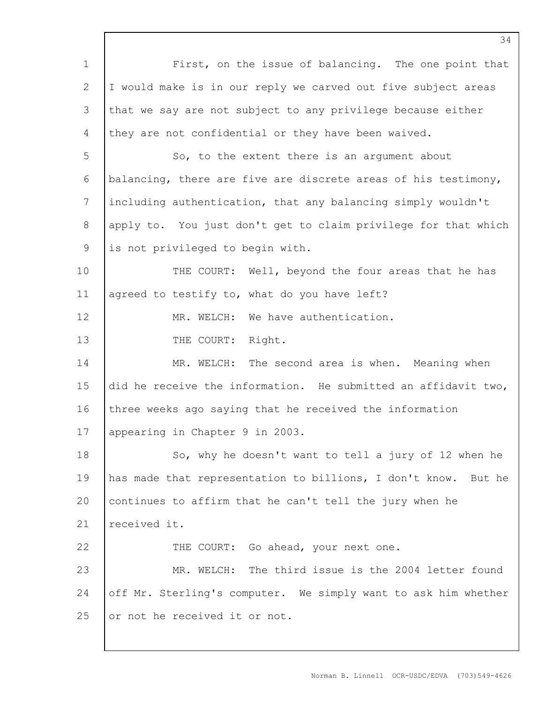|                | 34                                                             |
|----------------|----------------------------------------------------------------|
| $\mathbf 1$    | First, on the issue of balancing. The one point that           |
| 2              | I would make is in our reply we carved out five subject areas  |
| 3              | that we say are not subject to any privilege because either    |
| $\overline{4}$ | they are not confidential or they have been waived.            |
| 5              | So, to the extent there is an argument about                   |
| 6              | balancing, there are five are discrete areas of his testimony, |
| 7              | including authentication, that any balancing simply wouldn't   |
| $8\,$          | apply to. You just don't get to claim privilege for that which |
| 9              | is not privileged to begin with.                               |
| 10             | THE COURT: Well, beyond the four areas that he has             |
| 11             | agreed to testify to, what do you have left?                   |
| 12             | MR. WELCH: We have authentication.                             |
| 13             | THE COURT: Right.                                              |
| 14             | MR. WELCH: The second area is when. Meaning when               |
| 15             | did he receive the information. He submitted an affidavit two, |
| 16             | three weeks ago saying that he received the information        |
| 17             | appearing in Chapter 9 in 2003.                                |
| 18             | So, why he doesn't want to tell a jury of 12 when he           |
| 19             | has made that representation to billions, I don't know. But he |
| 20             | continues to affirm that he can't tell the jury when he        |
| 21             | received it.                                                   |
| 22             | THE COURT: Go ahead, your next one.                            |
| 23             | MR. WELCH: The third issue is the 2004 letter found            |
| 24             | off Mr. Sterling's computer. We simply want to ask him whether |
| 25             | or not he received it or not.                                  |

 $\Gamma$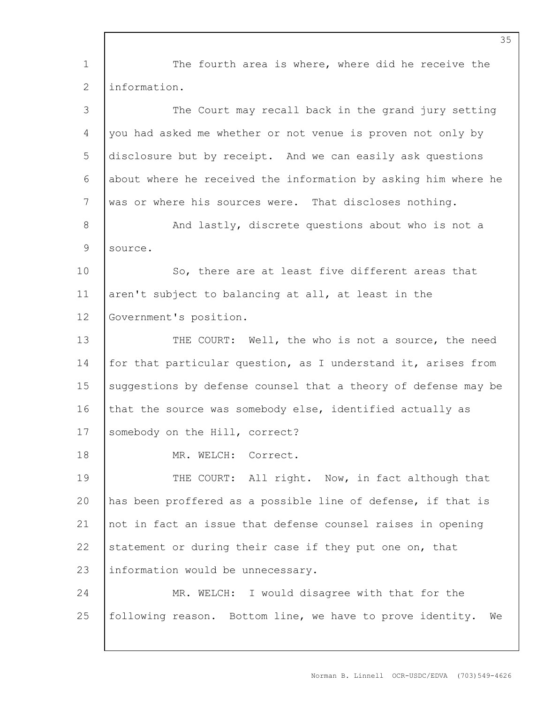1 2 3 4 5 6 7 8 9 10 11 12 13 14 15 16 17 18 19 20 21 22 23 24 25 The fourth area is where, where did he receive the information. The Court may recall back in the grand jury setting you had asked me whether or not venue is proven not only by disclosure but by receipt. And we can easily ask questions about where he received the information by asking him where he was or where his sources were. That discloses nothing. And lastly, discrete questions about who is not a source. So, there are at least five different areas that aren't subject to balancing at all, at least in the Government's position. THE COURT: Well, the who is not a source, the need for that particular question, as I understand it, arises from suggestions by defense counsel that a theory of defense may be that the source was somebody else, identified actually as somebody on the Hill, correct? MR. WELCH: Correct. THE COURT: All right. Now, in fact although that has been proffered as a possible line of defense, if that is not in fact an issue that defense counsel raises in opening statement or during their case if they put one on, that information would be unnecessary. MR. WELCH: I would disagree with that for the following reason. Bottom line, we have to prove identity. We

Norman B. Linnell OCR-USDC/EDVA (703)549-4626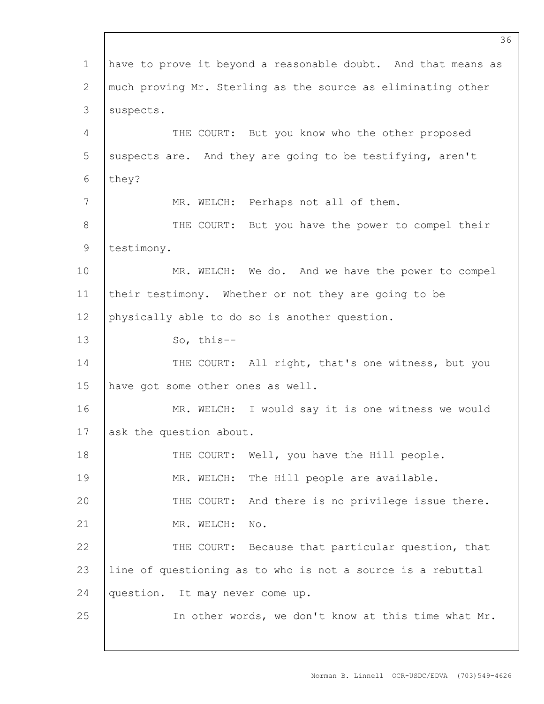1 2 3 4 5 6 7 8 9 10 11 12 13 14 15 16 17 18 19 20 21 22 23 24 25 have to prove it beyond a reasonable doubt. And that means as much proving Mr. Sterling as the source as eliminating other suspects. THE COURT: But you know who the other proposed suspects are. And they are going to be testifying, aren't they? MR. WELCH: Perhaps not all of them. THE COURT: But you have the power to compel their testimony. MR. WELCH: We do. And we have the power to compel their testimony. Whether or not they are going to be physically able to do so is another question. So, this-- THE COURT: All right, that's one witness, but you have got some other ones as well. MR. WELCH: I would say it is one witness we would ask the question about. THE COURT: Well, you have the Hill people. MR. WELCH: The Hill people are available. THE COURT: And there is no privilege issue there. MR. WELCH: No. THE COURT: Because that particular question, that line of questioning as to who is not a source is a rebuttal question. It may never come up. In other words, we don't know at this time what Mr.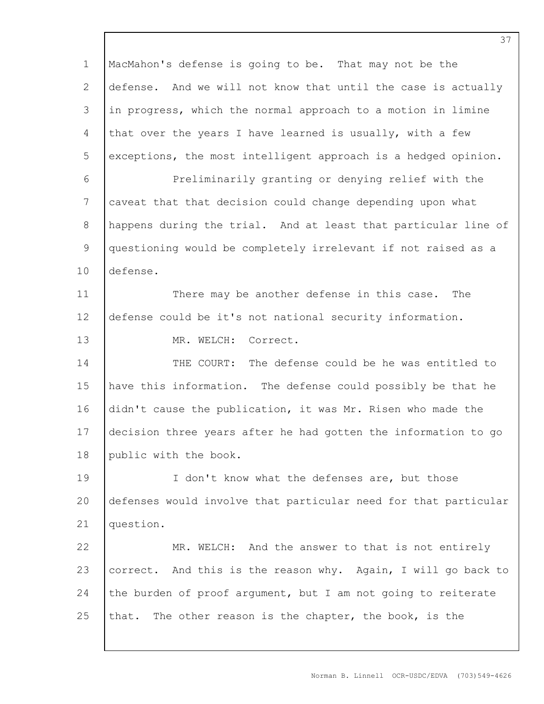1 2 3 4 5 6 7 8 9 10 11 12 13 14 15 16 17 18 19 20 21 22 23 24 25 MacMahon's defense is going to be. That may not be the defense. And we will not know that until the case is actually in progress, which the normal approach to a motion in limine that over the years I have learned is usually, with a few exceptions, the most intelligent approach is a hedged opinion. Preliminarily granting or denying relief with the caveat that that decision could change depending upon what happens during the trial. And at least that particular line of questioning would be completely irrelevant if not raised as a defense. There may be another defense in this case. The defense could be it's not national security information. MR. WELCH: Correct. THE COURT: The defense could be he was entitled to have this information. The defense could possibly be that he didn't cause the publication, it was Mr. Risen who made the decision three years after he had gotten the information to go public with the book. I don't know what the defenses are, but those defenses would involve that particular need for that particular question. MR. WELCH: And the answer to that is not entirely correct. And this is the reason why. Again, I will go back to the burden of proof argument, but I am not going to reiterate that. The other reason is the chapter, the book, is the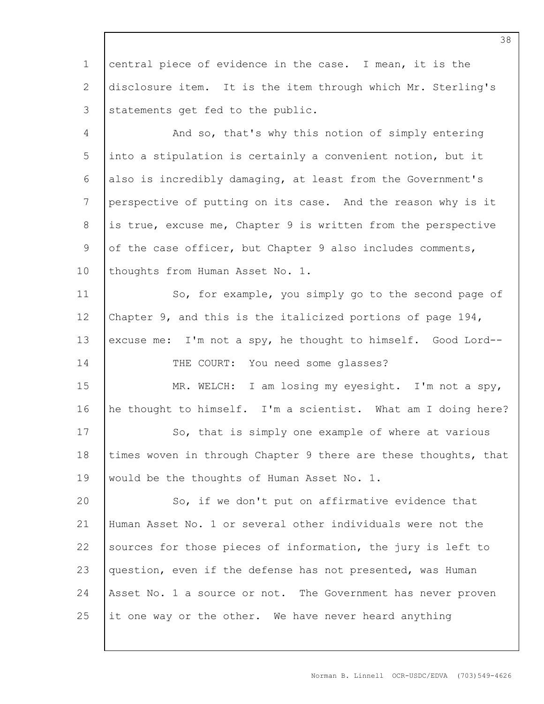1 2 3 central piece of evidence in the case. I mean, it is the disclosure item. It is the item through which Mr. Sterling's statements get fed to the public.

4 5 6 7 8 9 10 And so, that's why this notion of simply entering into a stipulation is certainly a convenient notion, but it also is incredibly damaging, at least from the Government's perspective of putting on its case. And the reason why is it is true, excuse me, Chapter 9 is written from the perspective of the case officer, but Chapter 9 also includes comments, thoughts from Human Asset No. 1.

11 12 13 14 So, for example, you simply go to the second page of Chapter 9, and this is the italicized portions of page 194, excuse me: I'm not a spy, he thought to himself. Good Lord--

THE COURT: You need some glasses?

15 16 17 18 19 MR. WELCH: I am losing my eyesight. I'm not a spy, he thought to himself. I'm a scientist. What am I doing here? So, that is simply one example of where at various times woven in through Chapter 9 there are these thoughts, that would be the thoughts of Human Asset No. 1.

20 21 22 23 24 25 So, if we don't put on affirmative evidence that Human Asset No. 1 or several other individuals were not the sources for those pieces of information, the jury is left to question, even if the defense has not presented, was Human Asset No. 1 a source or not. The Government has never proven it one way or the other. We have never heard anything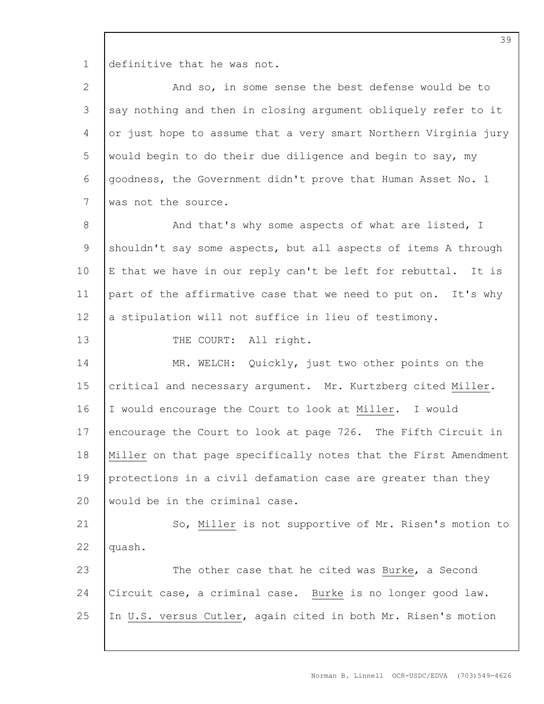1 definitive that he was not.

| 2              | And so, in some sense the best defense would be to              |
|----------------|-----------------------------------------------------------------|
| 3              | say nothing and then in closing argument obliquely refer to it  |
| 4              | or just hope to assume that a very smart Northern Virginia jury |
| 5              | would begin to do their due diligence and begin to say, my      |
| 6              | goodness, the Government didn't prove that Human Asset No. 1    |
| 7              | was not the source.                                             |
| $\,8\,$        | And that's why some aspects of what are listed, I               |
| $\overline{9}$ | shouldn't say some aspects, but all aspects of items A through  |
| 10             | E that we have in our reply can't be left for rebuttal. It is   |
| 11             | part of the affirmative case that we need to put on. It's why   |
| 12             | a stipulation will not suffice in lieu of testimony.            |
| 13             | THE COURT: All right.                                           |
| 14             | MR. WELCH: Quickly, just two other points on the                |
| 15             | critical and necessary argument. Mr. Kurtzberg cited Miller.    |
| 16             | I would encourage the Court to look at Miller. I would          |
| 17             | encourage the Court to look at page 726. The Fifth Circuit in   |
| 18             | Miller on that page specifically notes that the First Amendment |
| 19             | protections in a civil defamation case are greater than they    |
| 20             | would be in the criminal case.                                  |
| 21             | So, Miller is not supportive of Mr. Risen's motion to           |
| 22             | quash.                                                          |
| 23             | The other case that he cited was Burke, a Second                |
| 24             | Circuit case, a criminal case. Burke is no longer good law.     |
| 25             | In U.S. versus Cutler, again cited in both Mr. Risen's motion   |
|                |                                                                 |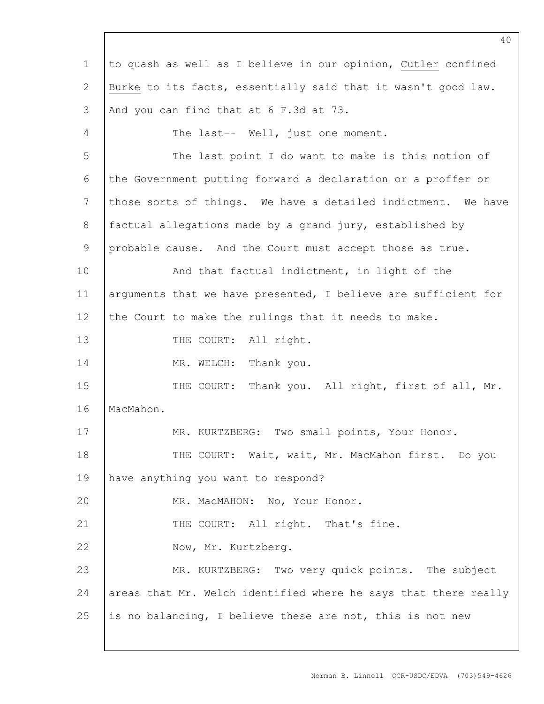1 2 3 4 5 6 7 8 9 10 11 12 13 14 15 16 17 18 19 20 21 22 23 24 25 to quash as well as I believe in our opinion, Cutler confined Burke to its facts, essentially said that it wasn't good law. And you can find that at 6 F.3d at 73. The last-- Well, just one moment. The last point I do want to make is this notion of the Government putting forward a declaration or a proffer or those sorts of things. We have a detailed indictment. We have factual allegations made by a grand jury, established by probable cause. And the Court must accept those as true. And that factual indictment, in light of the arguments that we have presented, I believe are sufficient for the Court to make the rulings that it needs to make. THE COURT: All right. MR. WELCH: Thank you. THE COURT: Thank you. All right, first of all, Mr. MacMahon. MR. KURTZBERG: Two small points, Your Honor. THE COURT: Wait, wait, Mr. MacMahon first. Do you have anything you want to respond? MR. MacMAHON: No, Your Honor. THE COURT: All right. That's fine. Now, Mr. Kurtzberg. MR. KURTZBERG: Two very quick points. The subject areas that Mr. Welch identified where he says that there really is no balancing, I believe these are not, this is not new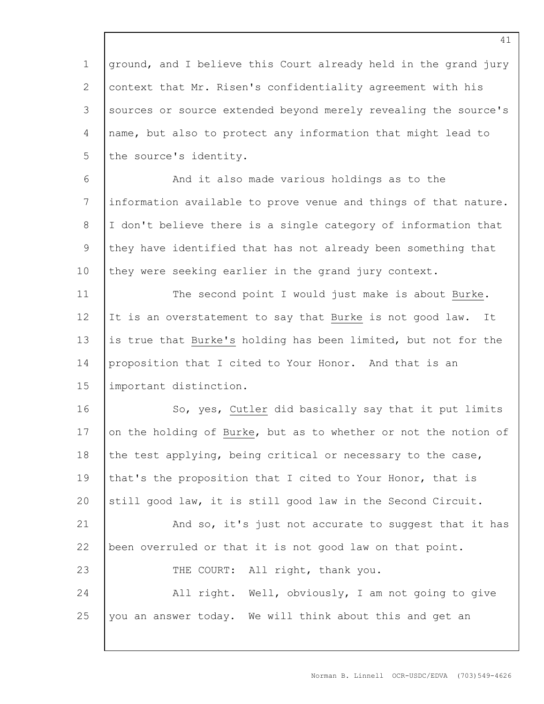1 2 3 4 5 ground, and I believe this Court already held in the grand jury context that Mr. Risen's confidentiality agreement with his sources or source extended beyond merely revealing the source's name, but also to protect any information that might lead to the source's identity.

6 7 8 9 10 And it also made various holdings as to the information available to prove venue and things of that nature. I don't believe there is a single category of information that they have identified that has not already been something that they were seeking earlier in the grand jury context.

11 12 13 14 15 The second point I would just make is about Burke. It is an overstatement to say that Burke is not good law. It is true that Burke's holding has been limited, but not for the proposition that I cited to Your Honor. And that is an important distinction.

16 17 18 19 20 So, yes, Cutler did basically say that it put limits on the holding of Burke, but as to whether or not the notion of the test applying, being critical or necessary to the case, that's the proposition that I cited to Your Honor, that is still good law, it is still good law in the Second Circuit.

21 22 23 24 And so, it's just not accurate to suggest that it has been overruled or that it is not good law on that point. THE COURT: All right, thank you. All right. Well, obviously, I am not going to give

25 you an answer today. We will think about this and get an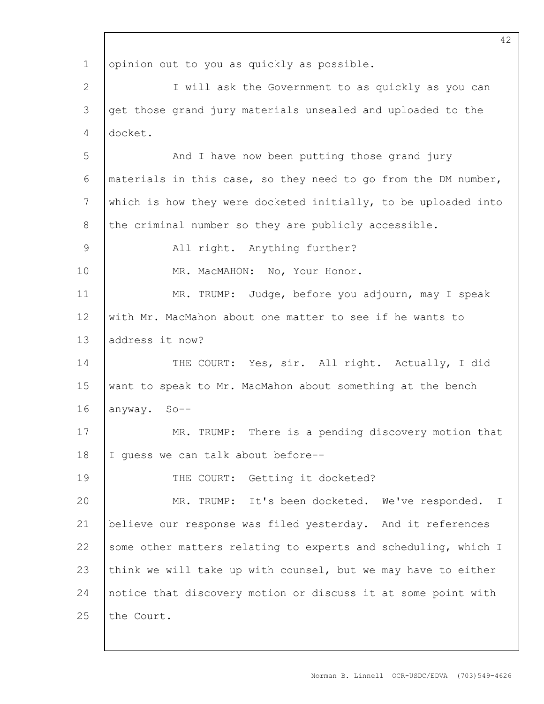1 2 3 4 5 6 7 8 9 10 11 12 13 14 15 16 17 18 19 20 21 22 23 24 25 42 opinion out to you as quickly as possible. I will ask the Government to as quickly as you can get those grand jury materials unsealed and uploaded to the docket. And I have now been putting those grand jury materials in this case, so they need to go from the DM number, which is how they were docketed initially, to be uploaded into the criminal number so they are publicly accessible. All right. Anything further? MR. MacMAHON: No, Your Honor. MR. TRUMP: Judge, before you adjourn, may I speak with Mr. MacMahon about one matter to see if he wants to address it now? THE COURT: Yes, sir. All right. Actually, I did want to speak to Mr. MacMahon about something at the bench anyway. So-- MR. TRUMP: There is a pending discovery motion that I guess we can talk about before-- THE COURT: Getting it docketed? MR. TRUMP: It's been docketed. We've responded. I believe our response was filed yesterday. And it references some other matters relating to experts and scheduling, which I think we will take up with counsel, but we may have to either notice that discovery motion or discuss it at some point with the Court.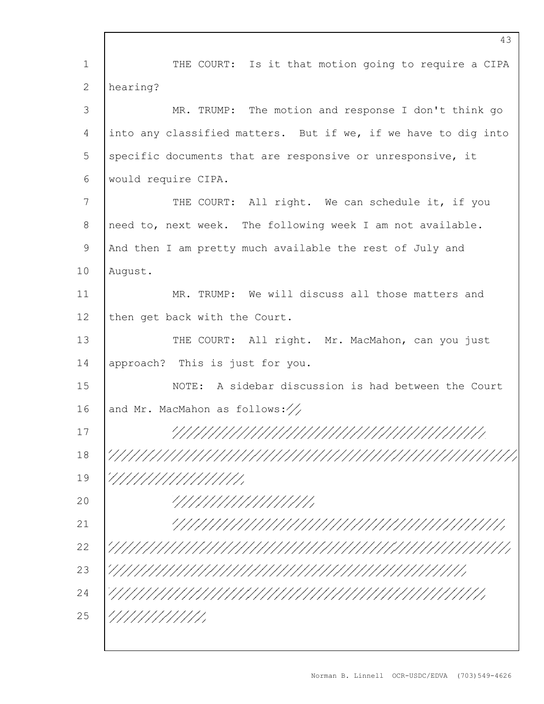|               | 43                                                             |
|---------------|----------------------------------------------------------------|
| $\mathbf 1$   | THE COURT: Is it that motion going to require a CIPA           |
| 2             | hearing?                                                       |
| 3             | MR. TRUMP: The motion and response I don't think go            |
| 4             | into any classified matters. But if we, if we have to dig into |
| 5             | specific documents that are responsive or unresponsive, it     |
| 6             | would require CIPA.                                            |
| 7             | THE COURT: All right. We can schedule it, if you               |
| 8             | need to, next week. The following week I am not available.     |
| $\mathcal{G}$ | And then I am pretty much available the rest of July and       |
| 10            | August.                                                        |
| 11            | MR. TRUMP: We will discuss all those matters and               |
| 12            | then get back with the Court.                                  |
| 13            | THE COURT: All right. Mr. MacMahon, can you just               |
| 14            | approach? This is just for you.                                |
| 15            | NOTE: A sidebar discussion is had between the Court            |
| 16            | and Mr. MacMahon as follows: $\frac{1}{\sqrt{2}}$              |
| 17            |                                                                |
| 18            |                                                                |
| 19            | /////////////////                                              |
| 20            | /////////////////                                              |
| 21            |                                                                |
| 22            |                                                                |
| 23            |                                                                |
| 24            |                                                                |
| 25            | ////////////                                                   |
|               |                                                                |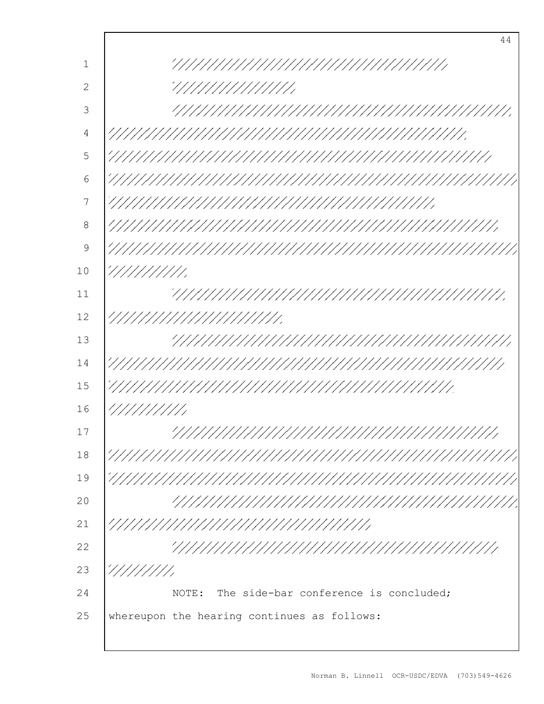1 2 3 4 5 6 7 8 9 10 11 12 13 14 15 16 17 18 19 20 21 22 23 24 25 44 NOTE: The side-bar conference is concluded; whereupon the hearing continues as follows: